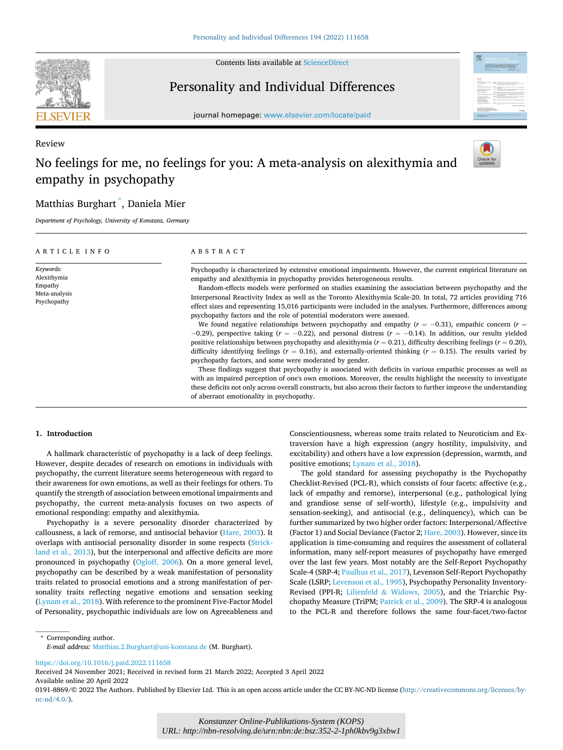

Review

Contents lists available at [ScienceDirect](www.sciencedirect.com/science/journal/01918869)

## Personality and Individual Differences



journal homepage: [www.elsevier.com/locate/paid](https://www.elsevier.com/locate/paid)

# No feelings for me, no feelings for you: A meta-analysis on alexithymia and empathy in psychopathy



## Matthias Burghart \* , Daniela Mier

*Department of Psychology, University of Konstanz, Germany* 

#### ARTICLE INFO *Keywords:*  Alexithymia Empathy Meta-analysis Psychopathy ABSTRACT Psychopathy is characterized by extensive emotional impairments. However, the current empirical literature on empathy and alexithymia in psychopathy provides heterogeneous results. Random-effects models were performed on studies examining the association between psychopathy and the Interpersonal Reactivity Index as well as the Toronto Alexithymia Scale-20. In total, 72 articles providing 716 effect sizes and representing 15,016 participants were included in the analyses. Furthermore, differences among psychopathy factors and the role of potential moderators were assessed. We found negative relationships between psychopathy and empathy ( $r = −0.31$ ), empathic concern ( $r =$ − 0.29), perspective taking (*r* = − 0.22), and personal distress (*r* = − 0.14). In addition, our results yielded positive relationships between psychopathy and alexithymia  $(r = 0.21)$ , difficulty describing feelings  $(r = 0.20)$ , difficulty identifying feelings (*r* = 0.16), and externally-oriented thinking (*r* = 0.15). The results varied by psychopathy factors, and some were moderated by gender. These findings suggest that psychopathy is associated with deficits in various empathic processes as well as with an impaired perception of one's own emotions. Moreover, the results highlight the necessity to investigate these deficits not only across overall constructs, but also across their factors to further improve the understanding of aberrant emotionality in psychopathy.

## **1. Introduction**

A hallmark characteristic of psychopathy is a lack of deep feelings. However, despite decades of research on emotions in individuals with psychopathy, the current literature seems heterogeneous with regard to their awareness for own emotions, as well as their feelings for others. To quantify the strength of association between emotional impairments and psychopathy, the current meta-analysis focuses on two aspects of emotional responding: empathy and alexithymia.

Psychopathy is a severe personality disorder characterized by callousness, a lack of remorse, and antisocial behavior ([Hare, 2003\)](#page-9-0). It overlaps with antisocial personality disorder in some respects ([Strick](#page-9-0)[land et al., 2013](#page-9-0)), but the interpersonal and affective deficits are more pronounced in psychopathy ([Ogloff, 2006](#page-9-0)). On a more general level, psychopathy can be described by a weak manifestation of personality traits related to prosocial emotions and a strong manifestation of personality traits reflecting negative emotions and sensation seeking ([Lynam et al., 2018\)](#page-9-0). With reference to the prominent Five-Factor Model of Personality, psychopathic individuals are low on Agreeableness and Conscientiousness, whereas some traits related to Neuroticism and Extraversion have a high expression (angry hostility, impulsivity, and excitability) and others have a low expression (depression, warmth, and positive emotions; [Lynam et al., 2018\)](#page-9-0).

The gold standard for assessing psychopathy is the Psychopathy Checklist-Revised (PCL-R), which consists of four facets: affective (e.g., lack of empathy and remorse), interpersonal (e.g., pathological lying and grandiose sense of self-worth), lifestyle (e.g., impulsivity and sensation-seeking), and antisocial (e.g., delinquency), which can be further summarized by two higher order factors: Interpersonal/Affective (Factor 1) and Social Deviance (Factor 2; [Hare, 2003\)](#page-9-0). However, since its application is time-consuming and requires the assessment of collateral information, many self-report measures of psychopathy have emerged over the last few years. Most notably are the Self-Report Psychopathy Scale-4 (SRP-4; [Paulhus et al., 2017](#page-9-0)), Levenson Self-Report Psychopathy Scale (LSRP; [Levenson et al., 1995\)](#page-9-0), Psychopathy Personality Inventory-Revised (PPI-R; Lilienfeld & [Widows, 2005\)](#page-9-0), and the Triarchic Psychopathy Measure (TriPM; [Patrick et al., 2009\)](#page-9-0). The SRP-4 is analogous to the PCL-R and therefore follows the same four-facet/two-factor

\* Corresponding author. *E-mail address:* [Matthias.2.Burghart@uni-konstanz.de](mailto:Matthias.2.Burghart@uni-konstanz.de) (M. Burghart).

<https://doi.org/10.1016/j.paid.2022.111658>

Available online 20 April 2022 Received 24 November 2021; Received in revised form 21 March 2022; Accepted 3 April 2022

<sup>0191-8869/© 2022</sup> The Authors. Published by Elsevier Ltd. This is an open access article under the CC BY-NC-ND license([http://creativecommons.org/licenses/by](http://creativecommons.org/licenses/by-nc-nd/4.0/)[nc-nd/4.0/](http://creativecommons.org/licenses/by-nc-nd/4.0/)).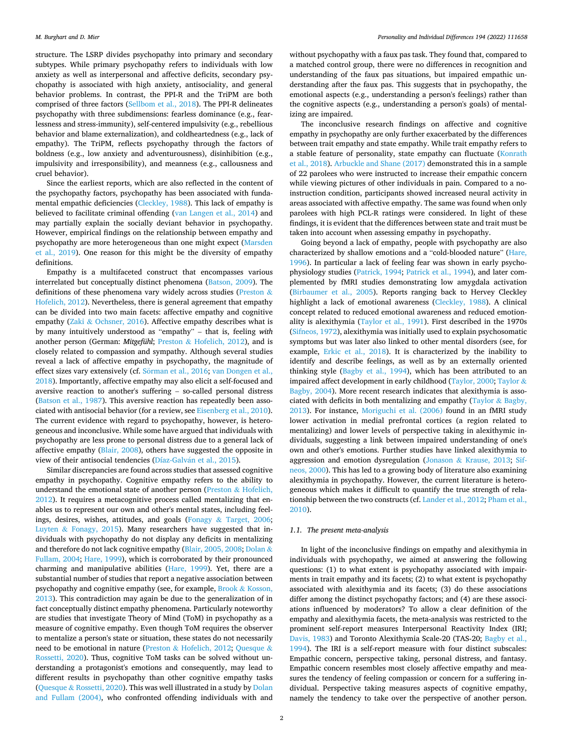structure. The LSRP divides psychopathy into primary and secondary subtypes. While primary psychopathy refers to individuals with low anxiety as well as interpersonal and affective deficits, secondary psychopathy is associated with high anxiety, antisociality, and general behavior problems. In contrast, the PPI-R and the TriPM are both comprised of three factors [\(Sellbom et al., 2018](#page-9-0)). The PPI-R delineates psychopathy with three subdimensions: fearless dominance (e.g., fearlessness and stress-immunity), self-centered impulsivity (e.g., rebellious behavior and blame externalization), and coldheartedness (e.g., lack of empathy). The TriPM, reflects psychopathy through the factors of boldness (e.g., low anxiety and adventurousness), disinhibition (e.g., impulsivity and irresponsibility), and meanness (e.g., callousness and cruel behavior).

Since the earliest reports, which are also reflected in the content of the psychopathy factors, psychopathy has been associated with fundamental empathic deficiencies [\(Cleckley, 1988\)](#page-8-0). This lack of empathy is believed to facilitate criminal offending [\(van Langen et al., 2014\)](#page-10-0) and may partially explain the socially deviant behavior in psychopathy. However, empirical findings on the relationship between empathy and psychopathy are more heterogeneous than one might expect [\(Marsden](#page-9-0)  [et al., 2019\)](#page-9-0). One reason for this might be the diversity of empathy definitions.

Empathy is a multifaceted construct that encompasses various interrelated but conceptually distinct phenomena [\(Batson, 2009](#page-8-0)). The definitions of these phenomena vary widely across studies [\(Preston](#page-9-0) & [Hofelich, 2012\)](#page-9-0). Nevertheless, there is general agreement that empathy can be divided into two main facets: affective empathy and cognitive empathy (Zaki & [Ochsner, 2016\)](#page-10-0). Affective empathy describes what is by many intuitively understood as "empathy" – that is, feeling *with*  another person (German: *Mitgefühl*; Preston & [Hofelich, 2012\)](#page-9-0), and is closely related to compassion and sympathy. Although several studies reveal a lack of affective empathy in psychopathy, the magnitude of effect sizes vary extensively (cf. Sörman [et al., 2016](#page-9-0); van Dongen et al., [2018\)](#page-10-0). Importantly, affective empathy may also elicit a self-focused and aversive reaction to another's suffering – so-called personal distress ([Batson et al., 1987](#page-8-0)). This aversive reaction has repeatedly been associated with antisocial behavior (for a review, see [Eisenberg et al., 2010](#page-9-0)). The current evidence with regard to psychopathy, however, is heterogeneous and inconclusive. While some have argued that individuals with psychopathy are less prone to personal distress due to a general lack of affective empathy ([Blair, 2008](#page-8-0)), others have suggested the opposite in view of their antisocial tendencies (Díaz-Galván et al., 2015).

Similar discrepancies are found across studies that assessed cognitive empathy in psychopathy. Cognitive empathy refers to the ability to understand the emotional state of another person (Preston & [Hofelich,](#page-9-0)  [2012\)](#page-9-0). It requires a metacognitive process called mentalizing that enables us to represent our own and other's mental states, including feelings, desires, wishes, attitudes, and goals (Fonagy & [Target, 2006](#page-9-0); Luyten  $\&$  [Fonagy, 2015\)](#page-9-0). Many researchers have suggested that individuals with psychopathy do not display any deficits in mentalizing and therefore do not lack cognitive empathy ([Blair, 2005, 2008](#page-8-0); [Dolan](#page-9-0) & [Fullam, 2004; Hare, 1999\)](#page-9-0), which is corroborated by their pronounced charming and manipulative abilities [\(Hare, 1999](#page-9-0)). Yet, there are a substantial number of studies that report a negative association between psychopathy and cognitive empathy (see, for example, Brook & [Kosson,](#page-8-0)  [2013\)](#page-8-0). This contradiction may again be due to the generalization of in fact conceptually distinct empathy phenomena. Particularly noteworthy are studies that investigate Theory of Mind (ToM) in psychopathy as a measure of cognitive empathy. Even though ToM requires the observer to mentalize a person's state or situation, these states do not necessarily need to be emotional in nature (Preston & [Hofelich, 2012;](#page-9-0) [Quesque](#page-9-0) & [Rossetti, 2020](#page-9-0)). Thus, cognitive ToM tasks can be solved without understanding a protagonist's emotions and consequently, may lead to different results in psychopathy than other cognitive empathy tasks (Quesque & [Rossetti, 2020\)](#page-9-0). This was well illustrated in a study by [Dolan](#page-9-0)  [and Fullam \(2004\)](#page-9-0), who confronted offending individuals with and

without psychopathy with a faux pas task. They found that, compared to a matched control group, there were no differences in recognition and understanding of the faux pas situations, but impaired empathic understanding after the faux pas. This suggests that in psychopathy, the emotional aspects (e.g., understanding a person's feelings) rather than the cognitive aspects (e.g., understanding a person's goals) of mentalizing are impaired.

The inconclusive research findings on affective and cognitive empathy in psychopathy are only further exacerbated by the differences between trait empathy and state empathy. While trait empathy refers to a stable feature of personality, state empathy can fluctuate [\(Konrath](#page-9-0)  [et al., 2018](#page-9-0)). [Arbuckle and Shane \(2017\)](#page-8-0) demonstrated this in a sample of 22 parolees who were instructed to increase their empathic concern while viewing pictures of other individuals in pain. Compared to a noinstruction condition, participants showed increased neural activity in areas associated with affective empathy. The same was found when only parolees with high PCL-R ratings were considered. In light of these findings, it is evident that the differences between state and trait must be taken into account when assessing empathy in psychopathy.

Going beyond a lack of empathy, people with psychopathy are also characterized by shallow emotions and a "cold-blooded nature" [\(Hare,](#page-9-0)  [1996\)](#page-9-0). In particular a lack of feeling fear was shown in early psychophysiology studies [\(Patrick, 1994](#page-9-0); [Patrick et al., 1994](#page-9-0)), and later complemented by fMRI studies demonstrating low amygdala activation ([Birbaumer et al., 2005\)](#page-8-0). Reports ranging back to Hervey Cleckley highlight a lack of emotional awareness ([Cleckley, 1988](#page-8-0)). A clinical concept related to reduced emotional awareness and reduced emotionality is alexithymia [\(Taylor et al., 1991\)](#page-9-0). First described in the 1970s ([Sifneos, 1972\)](#page-9-0), alexithymia was initially used to explain psychosomatic symptoms but was later also linked to other mental disorders (see, for example, [Erkic et al., 2018\)](#page-9-0). It is characterized by the inability to identify and describe feelings, as well as by an externally oriented thinking style ([Bagby et al., 1994](#page-8-0)), which has been attributed to an impaired affect development in early childhood ([Taylor, 2000; Taylor](#page-9-0) & [Bagby, 2004](#page-9-0)). More recent research indicates that alexithymia is asso-ciated with deficits in both mentalizing and empathy ([Taylor](#page-9-0)  $\&$  Bagby, [2013\)](#page-9-0). For instance, [Moriguchi et al. \(2006\)](#page-9-0) found in an fMRI study lower activation in medial prefrontal cortices (a region related to mentalizing) and lower levels of perspective taking in alexithymic individuals, suggesting a link between impaired understanding of one's own and other's emotions. Further studies have linked alexithymia to aggression and emotion dysregulation (Jonason & [Krause, 2013](#page-9-0); [Sif](#page-9-0)[neos, 2000\)](#page-9-0). This has led to a growing body of literature also examining alexithymia in psychopathy. However, the current literature is heterogeneous which makes it difficult to quantify the true strength of relationship between the two constructs (cf. [Lander et al., 2012; Pham et al.,](#page-9-0)  [2010\)](#page-9-0).

## *1.1. The present meta-analysis*

In light of the inconclusive findings on empathy and alexithymia in individuals with psychopathy, we aimed at answering the following questions: (1) to what extent is psychopathy associated with impairments in trait empathy and its facets; (2) to what extent is psychopathy associated with alexithymia and its facets; (3) do these associations differ among the distinct psychopathy factors; and (4) are these associations influenced by moderators? To allow a clear definition of the empathy and alexithymia facets, the meta-analysis was restricted to the prominent self-report measures Interpersonal Reactivity Index (IRI; [Davis, 1983\)](#page-8-0) and Toronto Alexithymia Scale-20 (TAS-20; [Bagby et al.,](#page-8-0)  [1994\)](#page-8-0). The IRI is a self-report measure with four distinct subscales: Empathic concern, perspective taking, personal distress, and fantasy. Empathic concern resembles most closely affective empathy and measures the tendency of feeling compassion or concern for a suffering individual. Perspective taking measures aspects of cognitive empathy, namely the tendency to take over the perspective of another person.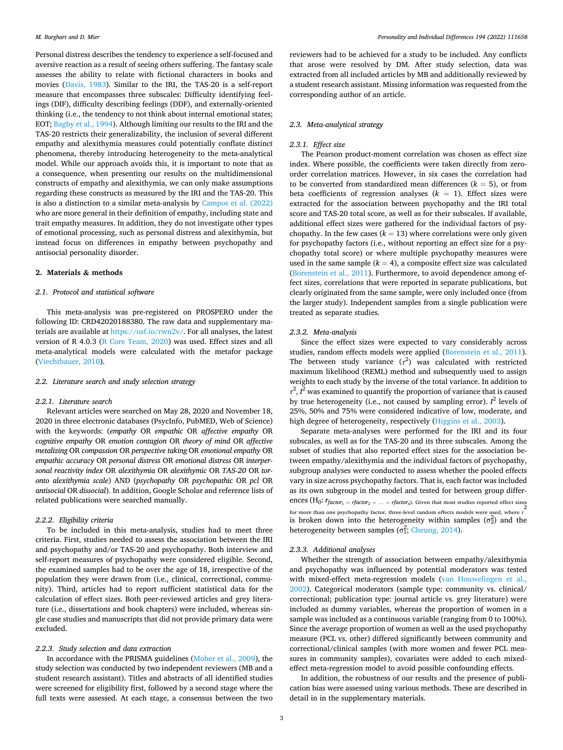Personal distress describes the tendency to experience a self-focused and aversive reaction as a result of seeing others suffering. The fantasy scale assesses the ability to relate with fictional characters in books and movies ([Davis, 1983](#page-8-0)). Similar to the IRI, the TAS-20 is a self-report measure that encompasses three subscales: Difficulty identifying feelings (DIF), difficulty describing feelings (DDF), and externally-oriented thinking (i.e., the tendency to not think about internal emotional states; EOT; [Bagby et al., 1994](#page-8-0)). Although limiting our results to the IRI and the TAS-20 restricts their generalizability, the inclusion of several different empathy and alexithymia measures could potentially conflate distinct phenomena, thereby introducing heterogeneity to the meta-analytical model. While our approach avoids this, it is important to note that as a consequence, when presenting our results on the multidimensional constructs of empathy and alexithymia, we can only make assumptions regarding these constructs as measured by the IRI and the TAS-20. This is also a distinction to a similar meta-analysis by [Campos et al. \(2022\)](#page-8-0)  who are more general in their definition of empathy, including state and trait empathy measures. In addition, they do not investigate other types of emotional processing, such as personal distress and alexithymia, but instead focus on differences in empathy between psychopathy and antisocial personality disorder.

## **2. Materials & methods**

## *2.1. Protocol and statistical software*

This meta-analysis was pre-registered on PROSPERO under the following ID: CRD42020188380. The raw data and supplementary materials are available at<https://osf.io/rwn2v/>. For all analyses, the latest version of R 4.0.3 ([R Core Team, 2020\)](#page-9-0) was used. Effect sizes and all meta-analytical models were calculated with the metafor package ([Viechtbauer, 2010\)](#page-10-0).

## *2.2. Literature search and study selection strategy*

#### *2.2.1. Literature search*

Relevant articles were searched on May 28, 2020 and November 18, 2020 in three electronic databases (PsycInfo, PubMED, Web of Science) with the keywords: (*empathy* OR *empathic* OR *affective empathy* OR *cognitive empathy* OR *emotion contagion* OR *theory of mind* OR *affective metalizing* OR *compassion* OR *perspective taking* OR *emotional empathy* OR *empathic accuracy* OR *personal distress* OR *emotional distress* OR *interpersonal reactivity index* OR *alexithymia* OR *alexithymic* OR *TAS-20* OR *toronto alexithymia scale*) AND (*psychopathy* OR *psychopathic* OR *pcl* OR *antisocial* OR *dissocial*). In addition, Google Scholar and reference lists of related publications were searched manually.

## *2.2.2. Eligibility criteria*

To be included in this meta-analysis, studies had to meet three criteria. First, studies needed to assess the association between the IRI and psychopathy and/or TAS-20 and psychopathy. Both interview and self-report measures of psychopathy were considered eligible. Second, the examined samples had to be over the age of 18, irrespective of the population they were drawn from (i.e., clinical, correctional, community). Third, articles had to report sufficient statistical data for the calculation of effect sizes. Both peer-reviewed articles and grey literature (i.e., dissertations and book chapters) were included, whereas single case studies and manuscripts that did not provide primary data were excluded.

## *2.2.3. Study selection and data extraction*

In accordance with the PRISMA guidelines ([Moher et al., 2009](#page-9-0)), the study selection was conducted by two independent reviewers (MB and a student research assistant). Titles and abstracts of all identified studies were screened for eligibility first, followed by a second stage where the full texts were assessed. At each stage, a consensus between the two

reviewers had to be achieved for a study to be included. Any conflicts that arose were resolved by DM. After study selection, data was extracted from all included articles by MB and additionally reviewed by a student research assistant. Missing information was requested from the corresponding author of an article.

## *2.3. Meta-analytical strategy*

## *2.3.1. Effect size*

The Pearson product-moment correlation was chosen as effect size index. Where possible, the coefficients were taken directly from zeroorder correlation matrices. However, in six cases the correlation had to be converted from standardized mean differences  $(k = 5)$ , or from beta coefficients of regression analyses  $(k = 1)$ . Effect sizes were extracted for the association between psychopathy and the IRI total score and TAS-20 total score, as well as for their subscales. If available, additional effect sizes were gathered for the individual factors of psychopathy. In the few cases  $(k = 13)$  where correlations were only given for psychopathy factors (i.e., without reporting an effect size for a psychopathy total score) or where multiple psychopathy measures were used in the same sample  $(k = 4)$ , a composite effect size was calculated ([Borenstein et al., 2011\)](#page-8-0). Furthermore, to avoid dependence among effect sizes, correlations that were reported in separate publications, but clearly originated from the same sample, were only included once (from the larger study). Independent samples from a single publication were treated as separate studies.

#### *2.3.2. Meta-analysis*

Since the effect sizes were expected to vary considerably across studies, random effects models were applied [\(Borenstein et al., 2011](#page-8-0)). The between study variance  $(\tau^2)$  was calculated with restricted maximum likelihood (REML) method and subsequently used to assign weights to each study by the inverse of the total variance. In addition to  $\tau^2$ ,  $I^2$  was examined to quantify the proportion of variance that is caused by true heterogeneity (i.e., not caused by sampling error). *I* 2 levels of 25%, 50% and 75% were considered indicative of low, moderate, and high degree of heterogeneity, respectively ([Higgins et al., 2003\)](#page-9-0).

Separate meta-analyses were performed for the IRI and its four subscales, as well as for the TAS-20 and its three subscales. Among the subset of studies that also reported effect sizes for the association between empathy/alexithymia and the individual factors of psychopathy, subgroup analyses were conducted to assess whether the pooled effects vary in size across psychopathy factors. That is, each factor was included as its own subgroup in the model and tested for between group differ**ences (H<sub>0</sub>:**  $r_{factor_1} = rfactor_2 = ... = rfactor_n$ **).** Given that most studies reported effect sizes 2 for more than one psychopathy factor, three-level random effects models were used, where *τ* is broken down into the heterogeneity within samples  $(\sigma_2^2)$  and the heterogeneity between samples ( $\sigma_1^2$ ; [Cheung, 2014](#page-8-0)).

#### *2.3.3. Additional analyses*

Whether the strength of association between empathy/alexithymia and psychopathy was influenced by potential moderators was tested with mixed-effect meta-regression models [\(van Houwelingen et al.,](#page-10-0)  [2002\)](#page-10-0). Categorical moderators (sample type: community vs. clinical/ correctional; publication type: journal article vs. grey literature) were included as dummy variables, whereas the proportion of women in a sample was included as a continuous variable (ranging from 0 to 100%). Since the average proportion of women as well as the used psychopathy measure (PCL vs. other) differed significantly between community and correctional/clinical samples (with more women and fewer PCL measures in community samples), covariates were added to each mixedeffect meta-regression model to avoid possible confounding effects.

In addition, the robustness of our results and the presence of publication bias were assessed using various methods. These are described in detail in in the supplementary materials.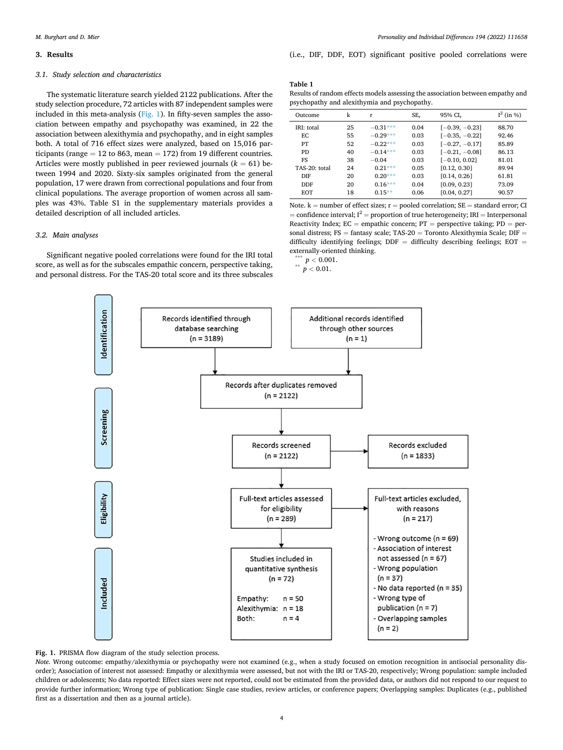#### <span id="page-3-0"></span>**3. Results**

## *3.1. Study selection and characteristics*

The systematic literature search yielded 2122 publications. After the study selection procedure, 72 articles with 87 independent samples were included in this meta-analysis ( $Fig. 1$ ). In fifty-seven samples the association between empathy and psychopathy was examined, in 22 the association between alexithymia and psychopathy, and in eight samples both. A total of 716 effect sizes were analyzed, based on 15,016 participants (range = 12 to 863, mean = 172) from 19 different countries. Articles were mostly published in peer reviewed journals  $(k = 61)$  between 1994 and 2020. Sixty-six samples originated from the general population, 17 were drawn from correctional populations and four from clinical populations. The average proportion of women across all samples was 43%. Table S1 in the supplementary materials provides a detailed description of all included articles.

#### *3.2. Main analyses*

Significant negative pooled correlations were found for the IRI total score, as well as for the subscales empathic concern, perspective taking, and personal distress. For the TAS-20 total score and its three subscales (i.e., DIF, DDF, EOT) significant positive pooled correlations were

#### **Table 1**

Results of random effects models assessing the association between empathy and psychopathy and alexithymia and psychopathy.

| Outcome           | k  | r          | $SE_r$ | 95% CI <sub>r</sub> | $I^2$ (in %) |
|-------------------|----|------------|--------|---------------------|--------------|
| <b>IRI:</b> total | 25 | $-0.31***$ | 0.04   | $[-0.39, -0.23]$    | 88.70        |
| EC.               | 55 | $-0.29***$ | 0.03   | $[-0.35, -0.22]$    | 92.46        |
| PT                | 52 | $-0.22***$ | 0.03   | $[-0.27, -0.17]$    | 85.89        |
| P <sub>D</sub>    | 40 | $-0.14***$ | 0.03   | $[-0.21, -0.08]$    | 86.13        |
| FS                | 38 | $-0.04$    | 0.03   | $[-0.10, 0.02]$     | 81.01        |
| TAS-20: total     | 24 | $0.21***$  | 0.05   | [0.12, 0.30]        | 89.94        |
| DIE               | 20 | $0.20***$  | 0.03   | [0.14, 0.26]        | 61.81        |
| DDF               | 20 | $0.16***$  | 0.04   | [0.09, 0.23]        | 73.09        |
| <b>EOT</b>        | 18 | $0.15**$   | 0.06   | [0.04, 0.27]        | 90.57        |

Note.  $k =$  number of effect sizes;  $r =$  pooled correlation;  $SE =$  standard error; CI = confidence interval;  $I^2$  = proportion of true heterogeneity; IRI = Interpersonal Reactivity Index;  $EC =$  empathic concern;  $PT =$  perspective taking;  $PD =$  personal distress;  $FS =$  fantasy scale; TAS-20 = Toronto Alexithymia Scale; DIF = difficulty identifying feelings;  $DDF =$  difficulty describing feelings;  $EOT =$ externally-oriented thinking. \*\*\* *<sup>p</sup><sup>&</sup>lt;* 0.001. \*\* *<sup>p</sup><sup>&</sup>lt;* 0.01.



**Fig. 1.** PRISMA flow diagram of the study selection process.

*Note*. Wrong outcome: empathy/alexithymia or psychopathy were not examined (e.g., when a study focused on emotion recognition in antisocial personality disorder); Association of interest not assessed: Empathy or alexithymia were assessed, but not with the IRI or TAS-20, respectively; Wrong population: sample included children or adolescents; No data reported: Effect sizes were not reported, could not be estimated from the provided data, or authors did not respond to our request to provide further information; Wrong type of publication: Single case studies, review articles, or conference papers; Overlapping samples: Duplicates (e.g., published first as a dissertation and then as a journal article).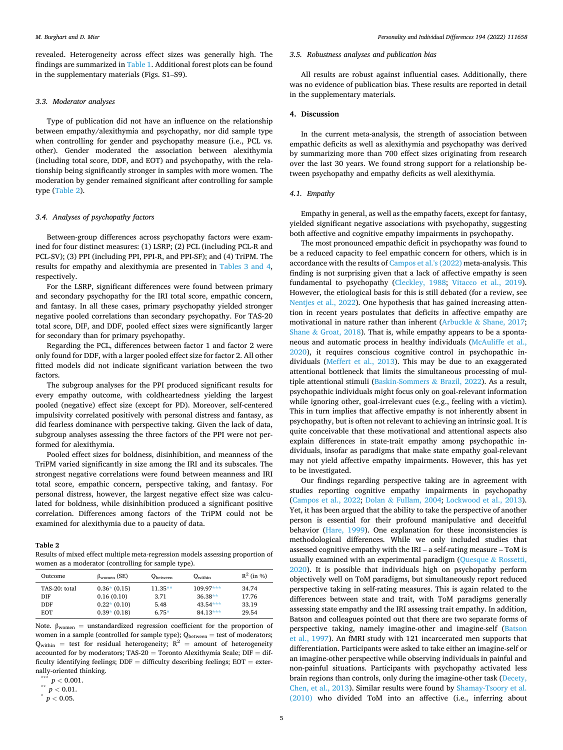revealed. Heterogeneity across effect sizes was generally high. The findings are summarized in [Table 1](#page-3-0). Additional forest plots can be found in the supplementary materials (Figs. S1–S9).

#### *3.3. Moderator analyses*

Type of publication did not have an influence on the relationship between empathy/alexithymia and psychopathy, nor did sample type when controlling for gender and psychopathy measure (i.e., PCL vs. other). Gender moderated the association between alexithymia (including total score, DDF, and EOT) and psychopathy, with the relationship being significantly stronger in samples with more women. The moderation by gender remained significant after controlling for sample type (Table 2).

## *3.4. Analyses of psychopathy factors*

Between-group differences across psychopathy factors were examined for four distinct measures: (1) LSRP; (2) PCL (including PCL-R and PCL-SV); (3) PPI (including PPI, PPI-R, and PPI-SF); and (4) TriPM. The results for empathy and alexithymia are presented in [Tables 3 and 4](#page-5-0), respectively.

For the LSRP, significant differences were found between primary and secondary psychopathy for the IRI total score, empathic concern, and fantasy. In all these cases, primary psychopathy yielded stronger negative pooled correlations than secondary psychopathy. For TAS-20 total score, DIF, and DDF, pooled effect sizes were significantly larger for secondary than for primary psychopathy.

Regarding the PCL, differences between factor 1 and factor 2 were only found for DDF, with a larger pooled effect size for factor 2. All other fitted models did not indicate significant variation between the two factors.

The subgroup analyses for the PPI produced significant results for every empathy outcome, with coldheartedness yielding the largest pooled (negative) effect size (except for PD). Moreover, self-centered impulsivity correlated positively with personal distress and fantasy, as did fearless dominance with perspective taking. Given the lack of data, subgroup analyses assessing the three factors of the PPI were not performed for alexithymia.

Pooled effect sizes for boldness, disinhibition, and meanness of the TriPM varied significantly in size among the IRI and its subscales. The strongest negative correlations were found between meanness and IRI total score, empathic concern, perspective taking, and fantasy. For personal distress, however, the largest negative effect size was calculated for boldness, while disinhibition produced a significant positive correlation. Differences among factors of the TriPM could not be examined for alexithymia due to a paucity of data.

#### **Table 2**

Results of mixed effect multiple meta-regression models assessing proportion of women as a moderator (controlling for sample type).

| Outcome       | $\beta_{\text{women}}$ (SE) | <b>Q</b> between | $Q_{within}$ | $R^2$ (in %) |
|---------------|-----------------------------|------------------|--------------|--------------|
| TAS-20: total | $0.36*(0.15)$               | $11.35**$        | $109.97***$  | 34.74        |
| DIE           | 0.16(0.10)                  | 3.71             | $36.38**$    | 17.76        |
| <b>DDF</b>    | $0.22*(0.10)$               | 5.48             | $43.54***$   | 33.19        |
| <b>EOT</b>    | $0.39*(0.18)$               | $6.75*$          | $84.13***$   | 29.54        |

Note.  $β_{women} = unstandardized regression coefficient for the proportion of$ women in a sample (controlled for sample type);  $Q_{between} =$  test of moderators;  $Q_{within}$  = test for residual heterogeneity;  $R^2$  = amount of heterogeneity accounted for by moderators;  $TAS-20 = Tor$ onto Alexithymia Scale;  $DIF = dif$ ficulty identifying feelings;  $DDF =$  difficulty describing feelings;  $EOT =$  externally-oriented thinking. \*\*\* *<sup>p</sup><sup>&</sup>lt;* 0.001. \*\* *<sup>p</sup><sup>&</sup>lt;* 0.01. \* *<sup>p</sup><sup>&</sup>lt;* 0.05.

## *3.5. Robustness analyses and publication bias*

All results are robust against influential cases. Additionally, there was no evidence of publication bias. These results are reported in detail in the supplementary materials.

#### **4. Discussion**

In the current meta-analysis, the strength of association between empathic deficits as well as alexithymia and psychopathy was derived by summarizing more than 700 effect sizes originating from research over the last 30 years. We found strong support for a relationship between psychopathy and empathy deficits as well alexithymia.

#### *4.1. Empathy*

Empathy in general, as well as the empathy facets, except for fantasy, yielded significant negative associations with psychopathy, suggesting both affective and cognitive empathy impairments in psychopathy.

The most pronounced empathic deficit in psychopathy was found to be a reduced capacity to feel empathic concern for others, which is in accordance with the results of [Campos et al.'s \(2022\)](#page-8-0) meta-analysis. This finding is not surprising given that a lack of affective empathy is seen fundamental to psychopathy [\(Cleckley, 1988](#page-8-0); [Vitacco et al., 2019](#page-10-0)). However, the etiological basis for this is still debated (for a review, see [Nentjes et al., 2022](#page-9-0)). One hypothesis that has gained increasing attention in recent years postulates that deficits in affective empathy are motivational in nature rather than inherent (Arbuckle & [Shane, 2017](#page-8-0); Shane  $&$  [Groat, 2018\)](#page-9-0). That is, while empathy appears to be a spontaneous and automatic process in healthy individuals [\(McAuliffe et al.,](#page-9-0)  [2020\)](#page-9-0), it requires conscious cognitive control in psychopathic individuals [\(Meffert et al., 2013\)](#page-9-0). This may be due to an exaggerated attentional bottleneck that limits the simultaneous processing of multiple attentional stimuli [\(Baskin-Sommers](#page-8-0) & Brazil, 2022). As a result, psychopathic individuals might focus only on goal-relevant information while ignoring other, goal-irrelevant cues (e.g., feeling with a victim). This in turn implies that affective empathy is not inherently absent in psychopathy, but is often not relevant to achieving an intrinsic goal. It is quite conceivable that these motivational and attentional aspects also explain differences in state-trait empathy among psychopathic individuals, insofar as paradigms that make state empathy goal-relevant may not yield affective empathy impairments. However, this has yet to be investigated.

Our findings regarding perspective taking are in agreement with studies reporting cognitive empathy impairments in psychopathy ([Campos et al., 2022;](#page-8-0) Dolan & [Fullam, 2004](#page-9-0); [Lockwood et al., 2013](#page-9-0)). Yet, it has been argued that the ability to take the perspective of another person is essential for their profound manipulative and deceitful behavior ([Hare, 1999\)](#page-9-0). One explanation for these inconsistencies is methodological differences. While we only included studies that assessed cognitive empathy with the IRI – a self-rating measure – ToM is usually examined with an experimental paradigm ([Quesque](#page-9-0) & Rossetti, [2020\)](#page-9-0). It is possible that individuals high on psychopathy perform objectively well on ToM paradigms, but simultaneously report reduced perspective taking in self-rating measures. This is again related to the differences between state and trait, with ToM paradigms generally assessing state empathy and the IRI assessing trait empathy. In addition, Batson and colleagues pointed out that there are two separate forms of perspective taking, namely imagine-other and imagine-self [\(Batson](#page-8-0)  [et al., 1997\)](#page-8-0). An fMRI study with 121 incarcerated men supports that differentiation. Participants were asked to take either an imagine-self or an imagine-other perspective while observing individuals in painful and non-painful situations. Participants with psychopathy activated less brain regions than controls, only during the imagine-other task [\(Decety,](#page-9-0)  [Chen, et al., 2013](#page-9-0)). Similar results were found by [Shamay-Tsoory et al.](#page-9-0)  [\(2010\)](#page-9-0) who divided ToM into an affective (i.e., inferring about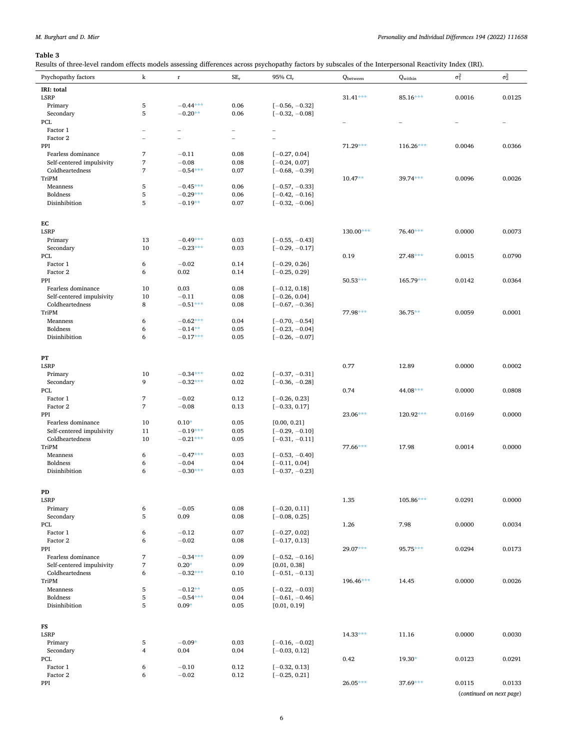## <span id="page-5-0"></span>*M. Burghart and D. Mier*

## **Table 3**

Results of three-level random effects models assessing differences across psychopathy factors by subscales of the Interpersonal Reactivity Index (IRI).

| ncsuits of time-never random encers models assessing unferences across psychopathy ractors by subseales of the micripersonal neactrivity muck (mu).<br>Psychopathy factors | $\bf k$                  | r                       | $SE_r$         | 95% CI <sub>r</sub>                | Qbetween    | Qwithin     | $\sigma_1^2$ | $\sigma_2^2$             |
|----------------------------------------------------------------------------------------------------------------------------------------------------------------------------|--------------------------|-------------------------|----------------|------------------------------------|-------------|-------------|--------------|--------------------------|
|                                                                                                                                                                            |                          |                         |                |                                    |             |             |              |                          |
| IRI: total<br><b>LSRP</b>                                                                                                                                                  |                          |                         |                |                                    | $31.41***$  | $85.16***$  | 0.0016       | 0.0125                   |
| Primary                                                                                                                                                                    | 5                        | $-0.44***$              | 0.06           | $[-0.56, -0.32]$                   |             |             |              |                          |
|                                                                                                                                                                            |                          |                         |                |                                    |             |             |              |                          |
| Secondary<br>PCL                                                                                                                                                           | 5                        | $-0.20**$               | 0.06           | $[-0.32, -0.08]$                   |             |             |              |                          |
| Factor 1                                                                                                                                                                   | $\overline{\phantom{a}}$ | $\qquad \qquad -$       | -              |                                    |             |             |              |                          |
| Factor 2                                                                                                                                                                   | $\overline{\phantom{0}}$ | $\overline{a}$          | $\overline{a}$ |                                    |             |             |              |                          |
|                                                                                                                                                                            |                          |                         |                |                                    |             |             |              |                          |
| PPI                                                                                                                                                                        | $\overline{7}$           | $-0.11$                 |                |                                    | $71.29***$  | $116.26***$ | 0.0046       | 0.0366                   |
| Fearless dominance<br>Self-centered impulsivity                                                                                                                            | 7                        | $-0.08$                 | 0.08<br>0.08   | $[-0.27, 0.04]$<br>$[-0.24, 0.07]$ |             |             |              |                          |
| Coldheartedness                                                                                                                                                            | 7                        | $-0.54***$              | 0.07           | $[-0.68, -0.39]$                   |             |             |              |                          |
| TriPM                                                                                                                                                                      |                          |                         |                |                                    | $10.47**$   | $39.74***$  | 0.0096       | 0.0026                   |
|                                                                                                                                                                            | 5                        | $-0.45***$              | 0.06           | $[-0.57, -0.33]$                   |             |             |              |                          |
| Meanness<br><b>Boldness</b>                                                                                                                                                | 5                        | $-0.29***$              | 0.06           | $[-0.42, -0.16]$                   |             |             |              |                          |
| Disinhibition                                                                                                                                                              | 5                        | $-0.19**$               | 0.07           | $[-0.32, -0.06]$                   |             |             |              |                          |
|                                                                                                                                                                            |                          |                         |                |                                    |             |             |              |                          |
|                                                                                                                                                                            |                          |                         |                |                                    |             |             |              |                          |
| EC                                                                                                                                                                         |                          |                         |                |                                    |             |             |              |                          |
| LSRP                                                                                                                                                                       |                          |                         |                |                                    | $130.00***$ | 76.40***    | 0.0000       | 0.0073                   |
| Primary                                                                                                                                                                    | 13                       | $-0.49***$              | 0.03           | $[-0.55, -0.43]$                   |             |             |              |                          |
| Secondary                                                                                                                                                                  | 10                       | $-0.23***$              | 0.03           | $[-0.29, -0.17]$                   |             |             |              |                          |
| PCL                                                                                                                                                                        |                          |                         |                |                                    | 0.19        | $27.48***$  | 0.0015       | 0.0790                   |
| Factor 1                                                                                                                                                                   | 6                        | $-0.02$                 | 0.14           | $[-0.29, 0.26]$                    |             |             |              |                          |
| Factor 2                                                                                                                                                                   | 6                        | 0.02                    | 0.14           | $[-0.25, 0.29]$                    |             |             |              |                          |
| PPI                                                                                                                                                                        |                          |                         |                |                                    | $50.53***$  | $165.79***$ | 0.0142       | 0.0364                   |
| Fearless dominance                                                                                                                                                         | 10                       | 0.03                    | 0.08           | $[-0.12, 0.18]$                    |             |             |              |                          |
| Self-centered impulsivity                                                                                                                                                  | 10                       | $-0.11$                 | 0.08           | $[-0.26, 0.04]$                    |             |             |              |                          |
| Coldheartedness                                                                                                                                                            | 8                        | $-0.51***$              | 0.08           | $[-0.67, -0.36]$                   |             |             |              |                          |
| TriPM                                                                                                                                                                      |                          |                         |                |                                    | 77.98***    | 36.75**     | 0.0059       | 0.0001                   |
| Meanness                                                                                                                                                                   | 6                        | $-0.62***$              | 0.04           | $[-0.70, -0.54]$                   |             |             |              |                          |
| <b>Boldness</b>                                                                                                                                                            | 6                        | $-0.14**$               | 0.05           | $[-0.23, -0.04]$                   |             |             |              |                          |
| Disinhibition                                                                                                                                                              | 6                        | $-0.17***$              | 0.05           | $[-0.26, -0.07]$                   |             |             |              |                          |
|                                                                                                                                                                            |                          |                         |                |                                    |             |             |              |                          |
| PT                                                                                                                                                                         |                          |                         |                |                                    |             |             |              |                          |
| LSRP                                                                                                                                                                       |                          |                         |                |                                    | 0.77        | 12.89       | 0.0000       | 0.0002                   |
| Primary                                                                                                                                                                    | 10                       | $-0.34***$              | 0.02           | $[-0.37, -0.31]$                   |             |             |              |                          |
| Secondary                                                                                                                                                                  | 9                        | $-0.32***$              | 0.02           | $[-0.36, -0.28]$                   |             |             |              |                          |
| PCL                                                                                                                                                                        |                          |                         |                |                                    | 0.74        | 44.08***    | 0.0000       | 0.0808                   |
| Factor 1                                                                                                                                                                   | $\overline{7}$           | $-0.02$                 | 0.12           | $[-0.26, 0.23]$                    |             |             |              |                          |
| Factor 2                                                                                                                                                                   | $\overline{7}$           | $-0.08$                 | 0.13           | $[-0.33, 0.17]$                    |             |             |              |                          |
| PPI                                                                                                                                                                        |                          |                         |                |                                    | 23.06***    | $120.92***$ | 0.0169       | 0.0000                   |
| Fearless dominance                                                                                                                                                         | 10                       | $0.10*$                 | 0.05           | [0.00, 0.21]                       |             |             |              |                          |
| Self-centered impulsivity                                                                                                                                                  | 11                       | $-0.19***$              | 0.05           | $[-0.29, -0.10]$                   |             |             |              |                          |
| Coldheartedness                                                                                                                                                            | 10                       | $-0.21***$              | 0.05           | $[-0.31, -0.11]$                   |             |             |              |                          |
| TriPM                                                                                                                                                                      |                          |                         |                |                                    | 77.66***    | 17.98       | 0.0014       | 0.0000                   |
| Meanness                                                                                                                                                                   | 6                        | $-0.47***$              | 0.03           | $[-0.53, -0.40]$                   |             |             |              |                          |
| <b>Boldness</b>                                                                                                                                                            | 6                        | $-0.04$                 | 0.04           | $[-0.11, 0.04]$                    |             |             |              |                          |
| Disinhibition                                                                                                                                                              | 6                        | $-0.30***$              | 0.03           | $[-0.37, -0.23]$                   |             |             |              |                          |
|                                                                                                                                                                            |                          |                         |                |                                    |             |             |              |                          |
|                                                                                                                                                                            |                          |                         |                |                                    |             |             |              |                          |
| PD<br><b>LSRP</b>                                                                                                                                                          |                          |                         |                |                                    | 1.35        | 105.86***   | 0.0291       | 0.0000                   |
| Primary                                                                                                                                                                    | 6                        | $-0.05$                 | 0.08           | $[-0.20, 0.11]$                    |             |             |              |                          |
| Secondary                                                                                                                                                                  | $\sqrt{5}$               | 0.09                    | 0.08           | $[-0.08, 0.25]$                    |             |             |              |                          |
| PCL                                                                                                                                                                        |                          |                         |                |                                    |             | 7.98        | 0.0000       | 0.0034                   |
| Factor 1                                                                                                                                                                   | 6                        | $-0.12$                 | 0.07           | $[-0.27, 0.02]$                    | 1.26        |             |              |                          |
| Factor 2                                                                                                                                                                   | 6                        | $-0.02$                 | 0.08           | $[-0.17, 0.13]$                    |             |             |              |                          |
| PPI                                                                                                                                                                        |                          |                         |                |                                    | 29.07***    | 95.75***    | 0.0294       | 0.0173                   |
| Fearless dominance                                                                                                                                                         | $\sqrt{7}$               | $-0.34***$              | 0.09           | $[-0.52, -0.16]$                   |             |             |              |                          |
| Self-centered impulsivity                                                                                                                                                  | $\overline{7}$           | $0.20*$                 | 0.09           | [0.01, 0.38]                       |             |             |              |                          |
| Coldheartedness                                                                                                                                                            | 6                        | $-0.32***$              | 0.10           | $[-0.51, -0.13]$                   |             |             |              |                          |
| TriPM                                                                                                                                                                      |                          |                         |                |                                    | 196.46***   | 14.45       | 0.0000       | 0.0026                   |
|                                                                                                                                                                            | $\mathbf 5$              |                         |                |                                    |             |             |              |                          |
| Meanness<br><b>Boldness</b>                                                                                                                                                |                          | $-0.12**$<br>$-0.54***$ | 0.05           | $[-0.22, -0.03]$                   |             |             |              |                          |
|                                                                                                                                                                            | $\,$ 5 $\,$              |                         | 0.04           | $[-0.61, -0.46]$                   |             |             |              |                          |
| Disinhibition                                                                                                                                                              | 5                        | $0.09*$                 | 0.05           | [0.01, 0.19]                       |             |             |              |                          |
|                                                                                                                                                                            |                          |                         |                |                                    |             |             |              |                          |
| FS                                                                                                                                                                         |                          |                         |                |                                    |             |             |              |                          |
| LSRP                                                                                                                                                                       |                          |                         |                |                                    | $14.33***$  | 11.16       | 0.0000       | 0.0030                   |
| Primary                                                                                                                                                                    | 5                        | $-0.09*$                | 0.03           | $[-0.16, -0.02]$                   |             |             |              |                          |
| Secondary                                                                                                                                                                  | $\overline{4}$           | 0.04                    | 0.04           | $[-0.03, 0.12]$                    |             |             |              |                          |
| PCL                                                                                                                                                                        |                          |                         |                |                                    | 0.42        | $19.30*$    | 0.0123       | 0.0291                   |
| Factor 1                                                                                                                                                                   | 6                        | $-0.10$                 | 0.12           | $[-0.32, 0.13]$                    |             |             |              |                          |
| Factor 2                                                                                                                                                                   | 6                        | $-0.02$                 | 0.12           | $[-0.25, 0.21]$                    |             |             |              |                          |
| PPI                                                                                                                                                                        |                          |                         |                |                                    | $26.05***$  | 37.69***    | 0.0115       | 0.0133                   |
|                                                                                                                                                                            |                          |                         |                |                                    |             |             |              | (continued on next page) |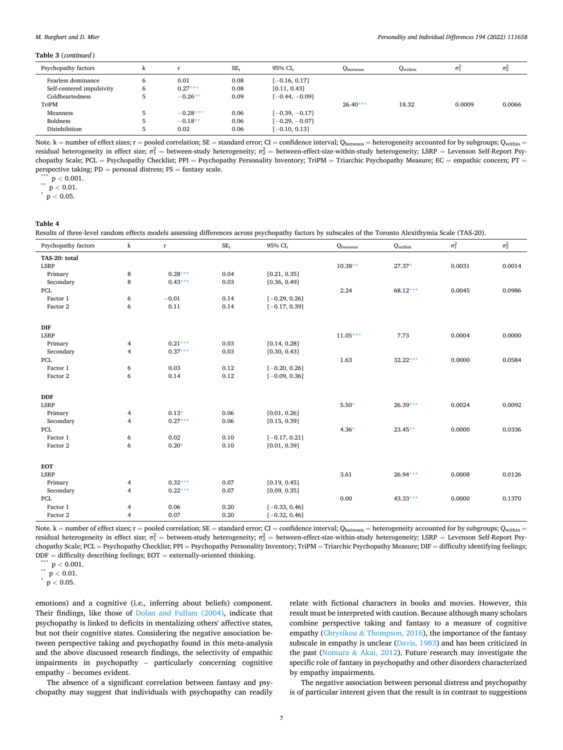#### <span id="page-6-0"></span>**Table 3** (*continued* )

| .                         |   |            |        |                     |            |              |        |              |
|---------------------------|---|------------|--------|---------------------|------------|--------------|--------|--------------|
| Psychopathy factors       | ĸ |            | $SE_r$ | 95% CI <sub>r</sub> | Qbetween   | $Q_{within}$ | σf     | $\sigma_2^2$ |
| Fearless dominance        | 6 | 0.01       | 0.08   | $[-0.16, 0.17]$     |            |              |        |              |
| Self-centered impulsivity | ь | $0.27***$  | 0.08   | [0.11, 0.43]        |            |              |        |              |
| Coldheartedness           | 5 | $-0.26**$  | 0.09   | $[-0.44, -0.09]$    |            |              |        |              |
| TriPM                     |   |            |        |                     | $26.40***$ | 18.32        | 0.0009 | 0.0066       |
| Meanness                  |   | $-0.28***$ | 0.06   | $[-0.39, -0.17]$    |            |              |        |              |
| <b>Boldness</b>           | 5 | $-0.18**$  | 0.06   | $[-0.29, -0.07]$    |            |              |        |              |
| Disinhibition             | 5 | 0.02       | 0.06   | $[-0.10, 0.13]$     |            |              |        |              |
|                           |   |            |        |                     |            |              |        |              |

Note.  $k =$  number of effect sizes;  $r =$  pooled correlation; SE = standard error; CI = confidence interval; Q<sub>between</sub> = heterogeneity accounted for by subgroups; Q<sub>within</sub> = residual heterogeneity in effect size;  $\sigma_1^2=$  between-study heterogeneity;  $\sigma_2^2=$  between-effect-size-within-study heterogeneity; LSRP = Levenson Self-Report Psychopathy Scale; PCL = Psychopathy Checklist; PPI = Psychopathy Personality Inventory; TriPM = Triarchic Psychopathy Measure; EC = empathic concern; PT = perspective taking; PD <sup>=</sup> personal distress; FS <sup>=</sup> fantasy scale. \*\*\* <sup>p</sup>*<sup>&</sup>lt;* 0.001. \*\* <sup>p</sup>*<sup>&</sup>lt;* 0.01. \* <sup>p</sup>*<sup>&</sup>lt;* 0.05.

**Table 4** 

| Results of three-level random effects models assessing differences across psychopathy factors by subscales of the Toronto Alexithymia Scale (TAS-20). |  |  |  |  |
|-------------------------------------------------------------------------------------------------------------------------------------------------------|--|--|--|--|
|-------------------------------------------------------------------------------------------------------------------------------------------------------|--|--|--|--|

| Psychopathy factors | k                       | $\mathbf r$ | $SE_{\rm r}$ | 95% CI <sub>r</sub> | Qbetween   | $Q_{within}$ | $\sigma_1^2$ | $\sigma_2^2$ |
|---------------------|-------------------------|-------------|--------------|---------------------|------------|--------------|--------------|--------------|
| TAS-20: total       |                         |             |              |                     |            |              |              |              |
| <b>LSRP</b>         |                         |             |              |                     | $10.38**$  | $27.37*$     | 0.0031       | 0.0014       |
| Primary             | 8                       | $0.28***$   | 0.04         | [0.21, 0.35]        |            |              |              |              |
| Secondary           | 8                       | $0.43***$   | 0.03         | [0.36, 0.49]        |            |              |              |              |
| PCL                 |                         |             |              |                     | 2.24       | $68.12***$   | 0.0045       | 0.0986       |
| Factor 1            | 6                       | $-0.01$     | 0.14         | $[-0.29, 0.26]$     |            |              |              |              |
| Factor 2            | 6                       | 0.11        | 0.14         | $[-0.17, 0.39]$     |            |              |              |              |
| DIF                 |                         |             |              |                     |            |              |              |              |
| <b>LSRP</b>         |                         |             |              |                     | $11.05***$ | 7.73         | 0.0004       | 0.0000       |
| Primary             | 4                       | $0.21***$   | 0.03         | [0.14, 0.28]        |            |              |              |              |
| Secondary           | $\overline{\mathbf{4}}$ | $0.37***$   | 0.03         | [0.30, 0.43]        |            |              |              |              |
| PCL                 |                         |             |              |                     | 1.63       | $32.22***$   | 0.0000       | 0.0584       |
| Factor 1            | 6                       | 0.03        | 0.12         | $[-0.20, 0.26]$     |            |              |              |              |
| Factor 2            | 6                       | 0.14        | 0.12         | $[-0.09, 0.36]$     |            |              |              |              |
| $\mathbf{DDF}$      |                         |             |              |                     |            |              |              |              |
| <b>LSRP</b>         |                         |             |              |                     | $5.50*$    | $26.39***$   | 0.0024       | 0.0092       |
| Primary             | 4                       | $0.13*$     | 0.06         | [0.01, 0.26]        |            |              |              |              |
| Secondary           | $\overline{4}$          | $0.27***$   | 0.06         | [0.15, 0.39]        |            |              |              |              |
| PCL                 |                         |             |              |                     | $4.36*$    | $23.45**$    | 0.0000       | 0.0336       |
| Factor 1            | 6                       | 0.02        | 0.10         | $[-0.17, 0.21]$     |            |              |              |              |
| Factor 2            | 6                       | $0.20*$     | 0.10         | [0.01, 0.39]        |            |              |              |              |
| <b>EOT</b>          |                         |             |              |                     |            |              |              |              |
| <b>LSRP</b>         |                         |             |              |                     | 3.61       | 26.94***     | 0.0008       | 0.0126       |
| Primary             | 4                       | $0.32***$   | 0.07         | [0.19, 0.45]        |            |              |              |              |
| Secondary           | $\overline{4}$          | $0.22***$   | 0.07         | [0.09, 0.35]        |            |              |              |              |
| PCL                 |                         |             |              |                     | 0.00       | 43.33***     | 0.0000       | 0.1370       |
| Factor 1            | 4                       | 0.06        | 0.20         | $[-0.33, 0.46]$     |            |              |              |              |
| Factor 2            | 4                       | 0.07        | 0.20         | $[-0.32, 0.46]$     |            |              |              |              |

Note.  $k =$  number of effect sizes;  $r =$  pooled correlation;  $SE =$  standard error;  $CI =$  confidence interval;  $Q_{between} =$  heterogeneity accounted for by subgroups;  $Q_{within} =$ residual heterogeneity in effect size;  $\sigma_1^2=$  between-study heterogeneity;  $\sigma_2^2=$  between-effect-size-within-study heterogeneity; LSRP = Levenson Self-Report Psychopathy Scale; PCL = Psychopathy Checklist; PPI = Psychopathy Personality Inventory; TriPM = Triarchic Psychopathy Measure; DIF = difficulty identifying feelings; DDF <sup>=</sup> difficulty describing feelings; EOT <sup>=</sup> externally-oriented thinking. \*\*\* <sup>p</sup>*<sup>&</sup>lt;* 0.001. \*\* <sup>p</sup>*<sup>&</sup>lt;* 0.01. \* <sup>p</sup>*<sup>&</sup>lt;* 0.05.

emotions) and a cognitive (i.e., inferring about beliefs) component. Their findings, like those of [Dolan and Fullam \(2004\),](#page-9-0) indicate that psychopathy is linked to deficits in mentalizing others' affective states, but not their cognitive states. Considering the negative association between perspective taking and psychopathy found in this meta-analysis and the above discussed research findings, the selectivity of empathic impairments in psychopathy – particularly concerning cognitive empathy – becomes evident.

The absence of a significant correlation between fantasy and psychopathy may suggest that individuals with psychopathy can readily relate with fictional characters in books and movies. However, this result must be interpreted with caution. Because although many scholars combine perspective taking and fantasy to a measure of cognitive empathy (Chrysikou & [Thompson, 2016](#page-8-0)), the importance of the fantasy subscale in empathy is unclear ([Davis, 1983\)](#page-8-0) and has been criticized in the past (Nomura & [Akai, 2012\)](#page-9-0). Future research may investigate the specific role of fantasy in psychopathy and other disorders characterized by empathy impairments.

The negative association between personal distress and psychopathy is of particular interest given that the result is in contrast to suggestions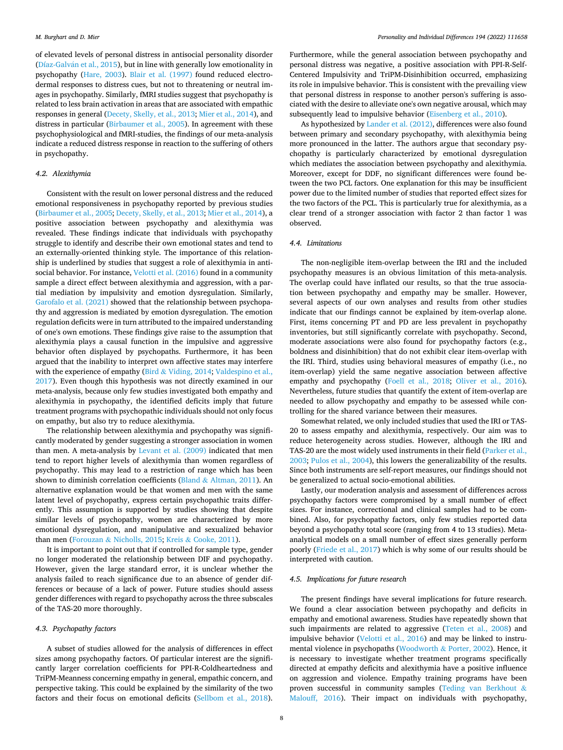of elevated levels of personal distress in antisocial personality disorder (Díaz-Galván et al., 2015), but in line with generally low emotionality in psychopathy [\(Hare, 2003\)](#page-9-0). [Blair et al. \(1997\)](#page-8-0) found reduced electrodermal responses to distress cues, but not to threatening or neutral images in psychopathy. Similarly, fMRI studies suggest that psychopathy is related to less brain activation in areas that are associated with empathic responses in general [\(Decety, Skelly, et al., 2013](#page-9-0); [Mier et al., 2014](#page-9-0)), and distress in particular [\(Birbaumer et al., 2005](#page-8-0)). In agreement with these psychophysiological and fMRI-studies, the findings of our meta-analysis indicate a reduced distress response in reaction to the suffering of others in psychopathy.

## *4.2. Alexithymia*

Consistent with the result on lower personal distress and the reduced emotional responsiveness in psychopathy reported by previous studies ([Birbaumer et al., 2005;](#page-8-0) [Decety, Skelly, et al., 2013; Mier et al., 2014\)](#page-9-0), a positive association between psychopathy and alexithymia was revealed. These findings indicate that individuals with psychopathy struggle to identify and describe their own emotional states and tend to an externally-oriented thinking style. The importance of this relationship is underlined by studies that suggest a role of alexithymia in antisocial behavior. For instance, [Velotti et al. \(2016\)](#page-10-0) found in a community sample a direct effect between alexithymia and aggression, with a partial mediation by impulsivity and emotion dysregulation. Similarly, [Garofalo et al. \(2021\)](#page-9-0) showed that the relationship between psychopathy and aggression is mediated by emotion dysregulation. The emotion regulation deficits were in turn attributed to the impaired understanding of one's own emotions. These findings give raise to the assumption that alexithymia plays a causal function in the impulsive and aggressive behavior often displayed by psychopaths. Furthermore, it has been argued that the inability to interpret own affective states may interfere with the experience of empathy (Bird & [Viding, 2014;](#page-8-0) Valdespino et al., [2017\)](#page-10-0). Even though this hypothesis was not directly examined in our meta-analysis, because only few studies investigated both empathy and alexithymia in psychopathy, the identified deficits imply that future treatment programs with psychopathic individuals should not only focus on empathy, but also try to reduce alexithymia.

The relationship between alexithymia and psychopathy was significantly moderated by gender suggesting a stronger association in women than men. A meta-analysis by [Levant et al. \(2009\)](#page-9-0) indicated that men tend to report higher levels of alexithymia than women regardless of psychopathy. This may lead to a restriction of range which has been shown to diminish correlation coefficients (Bland & [Altman, 2011](#page-8-0)). An alternative explanation would be that women and men with the same latent level of psychopathy, express certain psychopathic traits differently. This assumption is supported by studies showing that despite similar levels of psychopathy, women are characterized by more emotional dysregulation, and manipulative and sexualized behavior than men (Forouzan & [Nicholls, 2015;](#page-9-0) Kreis & [Cooke, 2011](#page-9-0)).

It is important to point out that if controlled for sample type, gender no longer moderated the relationship between DIF and psychopathy. However, given the large standard error, it is unclear whether the analysis failed to reach significance due to an absence of gender differences or because of a lack of power. Future studies should assess gender differences with regard to psychopathy across the three subscales of the TAS-20 more thoroughly.

#### *4.3. Psychopathy factors*

A subset of studies allowed for the analysis of differences in effect sizes among psychopathy factors. Of particular interest are the significantly larger correlation coefficients for PPI-R-Coldheartedness and TriPM-Meanness concerning empathy in general, empathic concern, and perspective taking. This could be explained by the similarity of the two factors and their focus on emotional deficits [\(Sellbom et al., 2018](#page-9-0)).

Furthermore, while the general association between psychopathy and personal distress was negative, a positive association with PPI-R-Self-Centered Impulsivity and TriPM-Disinhibition occurred, emphasizing its role in impulsive behavior. This is consistent with the prevailing view that personal distress in response to another person's suffering is associated with the desire to alleviate one's own negative arousal, which may subsequently lead to impulsive behavior ([Eisenberg et al., 2010](#page-9-0)).

As hypothesized by [Lander et al. \(2012\),](#page-9-0) differences were also found between primary and secondary psychopathy, with alexithymia being more pronounced in the latter. The authors argue that secondary psychopathy is particularly characterized by emotional dysregulation which mediates the association between psychopathy and alexithymia. Moreover, except for DDF, no significant differences were found between the two PCL factors. One explanation for this may be insufficient power due to the limited number of studies that reported effect sizes for the two factors of the PCL. This is particularly true for alexithymia, as a clear trend of a stronger association with factor 2 than factor 1 was observed.

## *4.4. Limitations*

The non-negligible item-overlap between the IRI and the included psychopathy measures is an obvious limitation of this meta-analysis. The overlap could have inflated our results, so that the true association between psychopathy and empathy may be smaller. However, several aspects of our own analyses and results from other studies indicate that our findings cannot be explained by item-overlap alone. First, items concerning PT and PD are less prevalent in psychopathy inventories, but still significantly correlate with psychopathy. Second, moderate associations were also found for psychopathy factors (e.g., boldness and disinhibition) that do not exhibit clear item-overlap with the IRI. Third, studies using behavioral measures of empathy (i.e., no item-overlap) yield the same negative association between affective empathy and psychopathy ([Foell et al., 2018;](#page-9-0) [Oliver et al., 2016](#page-9-0)). Nevertheless, future studies that quantify the extent of item-overlap are needed to allow psychopathy and empathy to be assessed while controlling for the shared variance between their measures.

Somewhat related, we only included studies that used the IRI or TAS-20 to assess empathy and alexithymia, respectively. Our aim was to reduce heterogeneity across studies. However, although the IRI and TAS-20 are the most widely used instruments in their field [\(Parker et al.,](#page-9-0)  [2003; Pulos et al., 2004\)](#page-9-0), this lowers the generalizability of the results. Since both instruments are self-report measures, our findings should not be generalized to actual socio-emotional abilities.

Lastly, our moderation analysis and assessment of differences across psychopathy factors were compromised by a small number of effect sizes. For instance, correctional and clinical samples had to be combined. Also, for psychopathy factors, only few studies reported data beyond a psychopathy total score (ranging from 4 to 13 studies). Metaanalytical models on a small number of effect sizes generally perform poorly ([Friede et al., 2017](#page-9-0)) which is why some of our results should be interpreted with caution.

## *4.5. Implications for future research*

The present findings have several implications for future research. We found a clear association between psychopathy and deficits in empathy and emotional awareness. Studies have repeatedly shown that such impairments are related to aggressive [\(Teten et al., 2008\)](#page-10-0) and impulsive behavior ([Velotti et al., 2016\)](#page-10-0) and may be linked to instrumental violence in psychopaths (Woodworth & [Porter, 2002\)](#page-10-0). Hence, it is necessary to investigate whether treatment programs specifically directed at empathy deficits and alexithymia have a positive influence on aggression and violence. Empathy training programs have been proven successful in community samples ([Teding van Berkhout](#page-10-0) & [Malouff, 2016\)](#page-10-0). Their impact on individuals with psychopathy,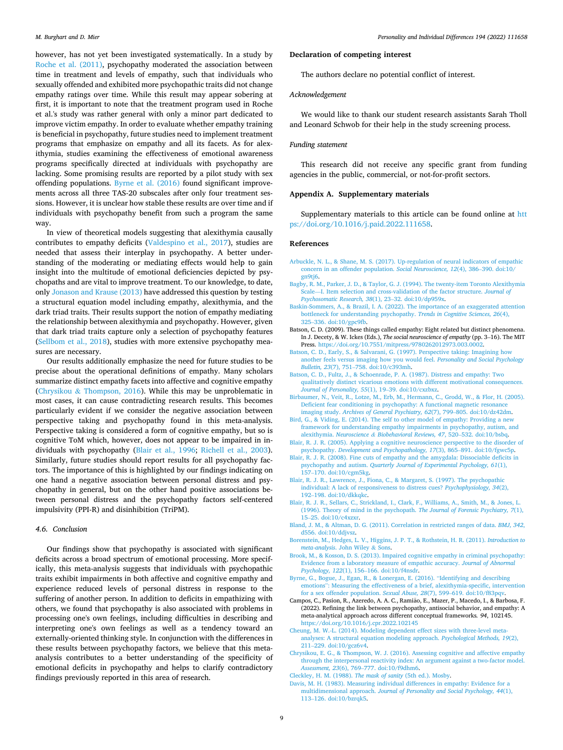<span id="page-8-0"></span>however, has not yet been investigated systematically. In a study by [Roche et al. \(2011\)](#page-9-0), psychopathy moderated the association between time in treatment and levels of empathy, such that individuals who sexually offended and exhibited more psychopathic traits did not change empathy ratings over time. While this result may appear sobering at first, it is important to note that the treatment program used in Roche et al.'s study was rather general with only a minor part dedicated to improve victim empathy. In order to evaluate whether empathy training is beneficial in psychopathy, future studies need to implement treatment programs that emphasize on empathy and all its facets. As for alexithymia, studies examining the effectiveness of emotional awareness programs specifically directed at individuals with psychopathy are lacking. Some promising results are reported by a pilot study with sex offending populations. Byrne et al. (2016) found significant improvements across all three TAS-20 subscales after only four treatment sessions. However, it is unclear how stable these results are over time and if individuals with psychopathy benefit from such a program the same way.

In view of theoretical models suggesting that alexithymia causally contributes to empathy deficits ([Valdespino et al., 2017](#page-10-0)), studies are needed that assess their interplay in psychopathy. A better understanding of the moderating or mediating effects would help to gain insight into the multitude of emotional deficiencies depicted by psychopaths and are vital to improve treatment. To our knowledge, to date, only [Jonason and Krause \(2013\)](#page-9-0) have addressed this question by testing a structural equation model including empathy, alexithymia, and the dark triad traits. Their results support the notion of empathy mediating the relationship between alexithymia and psychopathy. However, given that dark triad traits capture only a selection of psychopathy features ([Sellbom et al., 2018](#page-9-0)), studies with more extensive psychopathy measures are necessary.

Our results additionally emphasize the need for future studies to be precise about the operational definitions of empathy. Many scholars summarize distinct empathy facets into affective and cognitive empathy (Chrysikou & Thompson, 2016). While this may be unproblematic in most cases, it can cause contradicting research results. This becomes particularly evident if we consider the negative association between perspective taking and psychopathy found in this meta-analysis. Perspective taking is considered a form of cognitive empathy, but so is cognitive ToM which, however, does not appear to be impaired in individuals with psychopathy (Blair et al., 1996; [Richell et al., 2003](#page-9-0)). Similarly, future studies should report results for all psychopathy factors. The importance of this is highlighted by our findings indicating on one hand a negative association between personal distress and psychopathy in general, but on the other hand positive associations between personal distress and the psychopathy factors self-centered impulsivity (PPI-R) and disinhibition (TriPM).

#### *4.6. Conclusion*

Our findings show that psychopathy is associated with significant deficits across a broad spectrum of emotional processing. More specifically, this meta-analysis suggests that individuals with psychopathic traits exhibit impairments in both affective and cognitive empathy and experience reduced levels of personal distress in response to the suffering of another person. In addition to deficits in empathizing with others, we found that psychopathy is also associated with problems in processing one's own feelings, including difficulties in describing and interpreting one's own feelings as well as a tendency toward an externally-oriented thinking style. In conjunction with the differences in these results between psychopathy factors, we believe that this metaanalysis contributes to a better understanding of the specificity of emotional deficits in psychopathy and helps to clarify contradictory findings previously reported in this area of research.

## **Declaration of competing interest**

The authors declare no potential conflict of interest.

## *Acknowledgement*

We would like to thank our student research assistants Sarah Tholl and Leonard Schwob for their help in the study screening process.

## *Funding statement*

This research did not receive any specific grant from funding agencies in the public, commercial, or not-for-profit sectors.

#### **Appendix A. Supplementary materials**

Supplementary materials to this article can be found online at [htt](https://doi.org/10.1016/j.paid.2022.111658)  [ps://doi.org/10.1016/j.paid.2022.111658.](https://doi.org/10.1016/j.paid.2022.111658)

#### **References**

- [Arbuckle, N. L., & Shane, M. S. \(2017\). Up-regulation of neural indicators of empathic](http://refhub.elsevier.com/S0191-8869(22)00162-3/rf202204070807195358) [concern in an offender population.](http://refhub.elsevier.com/S0191-8869(22)00162-3/rf202204070807195358) *Social Neuroscience, 12*(4), 386–390. doi:10/ [gn9tj6.](http://refhub.elsevier.com/S0191-8869(22)00162-3/rf202204070807195358)
- [Bagby, R. M., Parker, J. D., & Taylor, G. J. \(1994\). The twenty-item Toronto Alexithymia](http://refhub.elsevier.com/S0191-8869(22)00162-3/rf202204070807263679)  Scale—[I. Item selection and cross-validation of the factor structure.](http://refhub.elsevier.com/S0191-8869(22)00162-3/rf202204070807263679) *Journal of [Psychosomatic Research, 38](http://refhub.elsevier.com/S0191-8869(22)00162-3/rf202204070807263679)*(1), 23–32. doi:10/dp959x.
- [Baskin-Sommers, A., & Brazil, I. A. \(2022\). The importance of an exaggerated attention](http://refhub.elsevier.com/S0191-8869(22)00162-3/rf202204070807370899)  [bottleneck for understanding psychopathy.](http://refhub.elsevier.com/S0191-8869(22)00162-3/rf202204070807370899) *Trends in Cognitive Sciences, 26*(4), 325–[336. doi:10/gpc9fb](http://refhub.elsevier.com/S0191-8869(22)00162-3/rf202204070807370899).
- Batson, C. D. (2009). These things called empathy: Eight related but distinct phenomena. In J. Decety, & W. Ickes (Eds.), *The social neuroscience of empathy* (pp. 3–16). The MIT Press. https://doi.org/10.7551/mitpress/9780262012973.003.000
- [Batson, C. D., Early, S., & Salvarani, G. \(1997\). Perspective taking: Imagining how](http://refhub.elsevier.com/S0191-8869(22)00162-3/rf202204070816524072)  [another feels versus imaging how you would feel.](http://refhub.elsevier.com/S0191-8869(22)00162-3/rf202204070816524072) *Personality and Social Psychology Bulletin, 23*(7), 751–[758. doi:10/c393mh.](http://refhub.elsevier.com/S0191-8869(22)00162-3/rf202204070816524072)
- [Batson, C. D., Fultz, J., & Schoenrade, P. A. \(1987\). Distress and empathy: Two](http://refhub.elsevier.com/S0191-8869(22)00162-3/rf202204070816578484) [qualitatively distinct vicarious emotions with different motivational consequences.](http://refhub.elsevier.com/S0191-8869(22)00162-3/rf202204070816578484) *[Journal of Personality, 55](http://refhub.elsevier.com/S0191-8869(22)00162-3/rf202204070816578484)*(1), 19–39. doi:10/cxzbxz.
- [Birbaumer, N., Veit, R., Lotze, M., Erb, M., Hermann, C., Grodd, W., & Flor, H. \(2005\).](http://refhub.elsevier.com/S0191-8869(22)00162-3/rf202204070808192195) [Deficient fear conditioning in psychopathy: A functional magnetic resonance](http://refhub.elsevier.com/S0191-8869(22)00162-3/rf202204070808192195) imaging study. *[Archives of General Psychiatry, 62](http://refhub.elsevier.com/S0191-8869(22)00162-3/rf202204070808192195)*(7), 799–805. doi:10/dz42dm.
- [Bird, G., & Viding, E. \(2014\). The self to other model of empathy: Providing a new](http://refhub.elsevier.com/S0191-8869(22)00162-3/rf202204070808373489) [framework for understanding empathy impairments in psychopathy, autism, and](http://refhub.elsevier.com/S0191-8869(22)00162-3/rf202204070808373489)  alexithymia. *Neuroscience & [Biobehavioral Reviews, 47](http://refhub.elsevier.com/S0191-8869(22)00162-3/rf202204070808373489)*, 520–532. doi:10/bsbq.
- [Blair, R. J. R. \(2005\). Applying a cognitive neuroscience perspective to the disorder of](http://refhub.elsevier.com/S0191-8869(22)00162-3/rf202204070808483644)  psychopathy. *[Development and Psychopathology, 17](http://refhub.elsevier.com/S0191-8869(22)00162-3/rf202204070808483644)*(3), 865–891. doi:10/fgwc5p.
- [Blair, R. J. R. \(2008\). Fine cuts of empathy and the amygdala: Dissociable deficits in](http://refhub.elsevier.com/S0191-8869(22)00162-3/rf202204070808372082)  psychopathy and autism. *[Quarterly Journal of Experimental Psychology, 61](http://refhub.elsevier.com/S0191-8869(22)00162-3/rf202204070808372082)*(1), 157–[170. doi:10/cgm5kg](http://refhub.elsevier.com/S0191-8869(22)00162-3/rf202204070808372082).
- [Blair, R. J. R., Lawrence, J., Fiona, C., & Margaret, S. \(1997\). The psychopathic](http://refhub.elsevier.com/S0191-8869(22)00162-3/rf202204070808380417) [individual: A lack of responsiveness to distress cues?](http://refhub.elsevier.com/S0191-8869(22)00162-3/rf202204070808380417) *Psychophysiology, 34*(2), 192–[198. doi:10/dkkqkc.](http://refhub.elsevier.com/S0191-8869(22)00162-3/rf202204070808380417)
- [Blair, R. J. R., Sellars, C., Strickland, I., Clark, F., Williams, A., Smith, M., & Jones, L.](http://refhub.elsevier.com/S0191-8869(22)00162-3/rf202204070808560636) [\(1996\). Theory of mind in the psychopath.](http://refhub.elsevier.com/S0191-8869(22)00162-3/rf202204070808560636) *The Journal of Forensic Psychiatry, 7*(1), 15–[25. doi:10/c4xzxr.](http://refhub.elsevier.com/S0191-8869(22)00162-3/rf202204070808560636)
- [Bland, J. M., & Altman, D. G. \(2011\). Correlation in restricted ranges of data.](http://refhub.elsevier.com/S0191-8869(22)00162-3/rf202204070809187109) *BMJ, 342*, [d556. doi:10/ddjvsz.](http://refhub.elsevier.com/S0191-8869(22)00162-3/rf202204070809187109)
- [Borenstein, M., Hedges, L. V., Higgins, J. P. T., & Rothstein, H. R. \(2011\).](http://refhub.elsevier.com/S0191-8869(22)00162-3/rf202204070820178457) *Introduction to meta-analysis*[. John Wiley](http://refhub.elsevier.com/S0191-8869(22)00162-3/rf202204070820178457) & Sons.
- [Brook, M., & Kosson, D. S. \(2013\). Impaired cognitive empathy in criminal psychopathy:](http://refhub.elsevier.com/S0191-8869(22)00162-3/rf202204070820193436)  [Evidence from a laboratory measure of empathic accuracy.](http://refhub.elsevier.com/S0191-8869(22)00162-3/rf202204070820193436) *Journal of Abnormal Psychology, 122*(1), 156–[166. doi:10/f4nsdr](http://refhub.elsevier.com/S0191-8869(22)00162-3/rf202204070820193436).
- [Byrne, G., Bogue, J., Egan, R., & Lonergan, E. \(2016\).](http://refhub.elsevier.com/S0191-8869(22)00162-3/rf202204070820204494) "Identifying and describing emotions"[: Measuring the effectiveness of a brief, alexithymia-specific, intervention](http://refhub.elsevier.com/S0191-8869(22)00162-3/rf202204070820204494)  [for a sex offender population.](http://refhub.elsevier.com/S0191-8869(22)00162-3/rf202204070820204494) *Sexual Abuse, 28*(7), 599–619. doi:10/f83pqv.
- Campos, C., Pasion, R., Azeredo, A. A. C., Ramião, E., Mazer, P., Macedo, I., & Barbosa, F. (2022). Refining the link between psychopathy, antisocial behavior, and empathy: A meta-analytical approach across different conceptual frameworks*. 94*, 102145. <https://doi.org/10.1016/j.cpr.2022.102145>
- [Cheung, M. W.-L. \(2014\). Modeling dependent effect sizes with three-level meta-](http://refhub.elsevier.com/S0191-8869(22)00162-3/rf202204070809448555)[analyses: A structural equation modeling approach.](http://refhub.elsevier.com/S0191-8869(22)00162-3/rf202204070809448555) *Psychological Methods, 19*(2), 211–[229. doi:10/gcz6v4](http://refhub.elsevier.com/S0191-8869(22)00162-3/rf202204070809448555).
- [Chrysikou, E. G., & Thompson, W. J. \(2016\). Assessing cognitive and affective empathy](http://refhub.elsevier.com/S0191-8869(22)00162-3/rf202204070809448203)  [through the interpersonal reactivity index: An argument against a two-factor model.](http://refhub.elsevier.com/S0191-8869(22)00162-3/rf202204070809448203)  *Assessment, 23*(6), 769–[777. doi:10/f9dhm6.](http://refhub.elsevier.com/S0191-8869(22)00162-3/rf202204070809448203)
- [Cleckley, H. M. \(1988\).](http://refhub.elsevier.com/S0191-8869(22)00162-3/rf202204070809542687) *The mask of sanity* (5th ed.). Mosby.
- [Davis, M. H. \(1983\). Measuring individual differences in empathy: Evidence for a](http://refhub.elsevier.com/S0191-8869(22)00162-3/rf202204070817056503)  multidimensional approach. *[Journal of Personality and Social Psychology, 44](http://refhub.elsevier.com/S0191-8869(22)00162-3/rf202204070817056503)*(1), 113–[126. doi:10/bzrqk5.](http://refhub.elsevier.com/S0191-8869(22)00162-3/rf202204070817056503)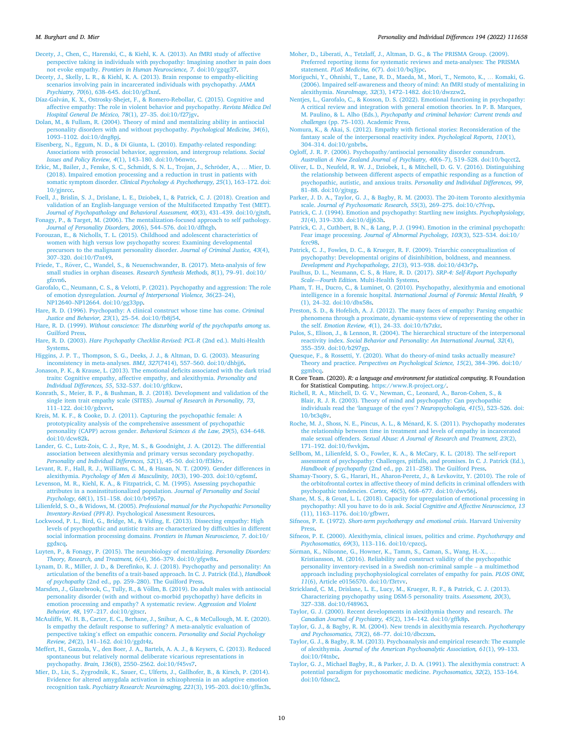#### <span id="page-9-0"></span>*M. Burghart and D. Mier*

[Decety, J., Chen, C., Harenski, C., & Kiehl, K. A. \(2013\). An fMRI study of affective](http://refhub.elsevier.com/S0191-8869(22)00162-3/rf202204070819537177)  [perspective taking in individuals with psychopathy: Imagining another in pain does](http://refhub.elsevier.com/S0191-8869(22)00162-3/rf202204070819537177)  not evoke empathy. *[Frontiers in Human Neuroscience, 7](http://refhub.elsevier.com/S0191-8869(22)00162-3/rf202204070819537177)*. doi:10/ggqg37.

[Decety, J., Skelly, L. R., & Kiehl, K. A. \(2013\). Brain response to empathy-eliciting](http://refhub.elsevier.com/S0191-8869(22)00162-3/rf202204070810174379) [scenarios involving pain in incarcerated individuals with psychopathy.](http://refhub.elsevier.com/S0191-8869(22)00162-3/rf202204070810174379) *JAMA Psychiatry, 70*(6), 638–[645. doi:10/gf3xnf](http://refhub.elsevier.com/S0191-8869(22)00162-3/rf202204070810174379).

- Díaz-Galván, K. X., Ostrosky-Shejet, F., & Romero-Rebollar, C. (2015). Cognitive and [affective empathy: The role in violent behavior and psychopathy.](http://refhub.elsevier.com/S0191-8869(22)00162-3/rf202204070810221523) *Revista M*´*edica Del [Hospital General De M](http://refhub.elsevier.com/S0191-8869(22)00162-3/rf202204070810221523)*´*exico, 78*(1), 27–35. doi:10/f27jgv.
- [Dolan, M., & Fullam, R. \(2004\). Theory of mind and mentalizing ability in antisocial](http://refhub.elsevier.com/S0191-8869(22)00162-3/rf202204070810290279)  [personality disorders with and without psychopathy.](http://refhub.elsevier.com/S0191-8869(22)00162-3/rf202204070810290279) *Psychological Medicine, 34*(6), 1093–[1102. doi:10/dng8pj](http://refhub.elsevier.com/S0191-8869(22)00162-3/rf202204070810290279).
- [Eisenberg, N., Eggum, N. D., & Di Giunta, L. \(2010\). Empathy-related responding:](http://refhub.elsevier.com/S0191-8869(22)00162-3/rf202204070810383199)  [Associations with prosocial behavior, aggression, and intergroup relations.](http://refhub.elsevier.com/S0191-8869(22)00162-3/rf202204070810383199) *Social [Issues and Policy Review, 4](http://refhub.elsevier.com/S0191-8869(22)00162-3/rf202204070810383199)*(1), 143–180. doi:10/b6nwtc.
- Erkic, M., Bailer, J., Fenske, S. C., Schmidt, S. N. L., Trojan, J., Schröder, A., ... Mier, D. [\(2018\). Impaired emotion processing and a reduction in trust in patients with](http://refhub.elsevier.com/S0191-8869(22)00162-3/rf202204070810469360) [somatic symptom disorder.](http://refhub.elsevier.com/S0191-8869(22)00162-3/rf202204070810469360) *Clinical Psychology & Psychotherapy, 25*(1), 163–172. doi: [10/gjnrcc](http://refhub.elsevier.com/S0191-8869(22)00162-3/rf202204070810469360).
- [Foell, J., Brislin, S. J., Drislane, L. E., Dziobek, I., & Patrick, C. J. \(2018\). Creation and](http://refhub.elsevier.com/S0191-8869(22)00162-3/rf202204070811053827)  [validation of an English-language version of the Multifaceted Empathy Test \(MET\).](http://refhub.elsevier.com/S0191-8869(22)00162-3/rf202204070811053827)  *[Journal of Psychopathology and Behavioral Assessment, 40](http://refhub.elsevier.com/S0191-8869(22)00162-3/rf202204070811053827)*(3), 431–439. doi:10/gjtsft.
- [Fonagy, P., & Target, M. \(2006\). The mentalization-focused approach to self pathology.](http://refhub.elsevier.com/S0191-8869(22)00162-3/rf202204070816190932)  *[Journal of Personality Disorders, 20](http://refhub.elsevier.com/S0191-8869(22)00162-3/rf202204070816190932)*(6), 544–576. doi:10/dfhtgb.
- [Forouzan, E., & Nicholls, T. L. \(2015\). Childhood and adolescent characteristics of](http://refhub.elsevier.com/S0191-8869(22)00162-3/rf202204070816208057)  [women with high versus low psychopathy scores: Examining developmental](http://refhub.elsevier.com/S0191-8869(22)00162-3/rf202204070816208057)  [precursors to the malignant personality disorder.](http://refhub.elsevier.com/S0191-8869(22)00162-3/rf202204070816208057) *Journal of Criminal Justice, 43*(4), 307–[320. doi:10/f7nt49.](http://refhub.elsevier.com/S0191-8869(22)00162-3/rf202204070816208057)
- Friede, T., Röver, [C., Wandel, S., & Neuenschwander, B. \(2017\). Meta-analysis of few](http://refhub.elsevier.com/S0191-8869(22)00162-3/rf202204070811132601) [small studies in orphan diseases.](http://refhub.elsevier.com/S0191-8869(22)00162-3/rf202204070811132601) *Research Synthesis Methods, 8*(1), 79–91. doi:10/ [gfzvn6.](http://refhub.elsevier.com/S0191-8869(22)00162-3/rf202204070811132601)
- [Garofalo, C., Neumann, C. S., & Velotti, P. \(2021\). Psychopathy and aggression: The role](http://refhub.elsevier.com/S0191-8869(22)00162-3/rf1000)  of emotion dysregulation. *[Journal of Interpersonal Violence, 36](http://refhub.elsevier.com/S0191-8869(22)00162-3/rf1000)*(23–24), NP12640–[NP12664. doi:10/gg33pp](http://refhub.elsevier.com/S0191-8869(22)00162-3/rf1000).
- [Hare, R. D. \(1996\). Psychopathy: A clinical construct whose time has come.](http://refhub.elsevier.com/S0191-8869(22)00162-3/rf202204070811182930) *Criminal [Justice and Behavior, 23](http://refhub.elsevier.com/S0191-8869(22)00162-3/rf202204070811182930)*(1), 25–54. doi:10/fb8j54.
- Hare, R. D. (1999). *[Without conscience: The disturbing world of the psychopaths among us](http://refhub.elsevier.com/S0191-8869(22)00162-3/rf202204070811242674)*. [Guilford Press.](http://refhub.elsevier.com/S0191-8869(22)00162-3/rf202204070811242674)
- Hare, R. D. (2003). *[Hare Psychopathy Checklist-Revised: PCL-R](http://refhub.elsevier.com/S0191-8869(22)00162-3/rf202204070811540682)* (2nd ed.). Multi-Health [Systems](http://refhub.elsevier.com/S0191-8869(22)00162-3/rf202204070811540682).
- [Higgins, J. P. T., Thompson, S. G., Deeks, J. J., & Altman, D. G. \(2003\). Measuring](http://refhub.elsevier.com/S0191-8869(22)00162-3/rf202204070812020388)  [inconsistency in meta-analyses.](http://refhub.elsevier.com/S0191-8869(22)00162-3/rf202204070812020388) *BMJ, 327*(7414), 557–560. doi:10/dhbjj6.
- [Jonason, P. K., & Krause, L. \(2013\). The emotional deficits associated with the dark triad](http://refhub.elsevier.com/S0191-8869(22)00162-3/rf202204070812092830)  [traits: Cognitive empathy, affective empathy, and alexithymia.](http://refhub.elsevier.com/S0191-8869(22)00162-3/rf202204070812092830) *Personality and [Individual Differences, 55](http://refhub.elsevier.com/S0191-8869(22)00162-3/rf202204070812092830)*, 532–537. doi:10/gftkzw.
- [Konrath, S., Meier, B. P., & Bushman, B. J. \(2018\). Development and validation of the](http://refhub.elsevier.com/S0191-8869(22)00162-3/rf202204070816221147) [single item trait empathy scale \(SITES\).](http://refhub.elsevier.com/S0191-8869(22)00162-3/rf202204070816221147) *Journal of Research in Personality, 73*, 111–[122. doi:10/gdxvvt](http://refhub.elsevier.com/S0191-8869(22)00162-3/rf202204070816221147).
- [Kreis, M. K. F., & Cooke, D. J. \(2011\). Capturing the psychopathic female: A](http://refhub.elsevier.com/S0191-8869(22)00162-3/rf202204070816235211) [prototypicality analysis of the comprehensive assessment of psychopathic](http://refhub.elsevier.com/S0191-8869(22)00162-3/rf202204070816235211) [personality \(CAPP\) across gender.](http://refhub.elsevier.com/S0191-8869(22)00162-3/rf202204070816235211) *Behavioral Sciences & the Law, 29*(5), 634–648. [doi:10/dcw82k.](http://refhub.elsevier.com/S0191-8869(22)00162-3/rf202204070816235211)
- [Lander, G. C., Lutz-Zois, C. J., Rye, M. S., & Goodnight, J. A. \(2012\). The differential](http://refhub.elsevier.com/S0191-8869(22)00162-3/rf202204070812158676)  [association between alexithymia and primary versus secondary psychopathy.](http://refhub.elsevier.com/S0191-8869(22)00162-3/rf202204070812158676)  *[Personality and Individual Differences, 52](http://refhub.elsevier.com/S0191-8869(22)00162-3/rf202204070812158676)*(1), 45–50. doi:10/ff3kbv.
- [Levant, R. F., Hall, R. J., Williams, C. M., & Hasan, N. T. \(2009\). Gender differences in](http://refhub.elsevier.com/S0191-8869(22)00162-3/rf202204070812208251) alexithymia. *Psychology of Men & Masculinity, 10*(3), 190–[203. doi:10/cg6smf](http://refhub.elsevier.com/S0191-8869(22)00162-3/rf202204070812208251).
- [Levenson, M. R., Kiehl, K. A., & Fitzpatrick, C. M. \(1995\). Assessing psychopathic](http://refhub.elsevier.com/S0191-8869(22)00162-3/rf202204070812271801)  [attributes in a noninstitutionalized population.](http://refhub.elsevier.com/S0191-8869(22)00162-3/rf202204070812271801) *Journal of Personality and Social Psychology, 68*(1), 151–[158. doi:10/b4957p](http://refhub.elsevier.com/S0191-8869(22)00162-3/rf202204070812271801).
- Lilienfeld, S. O., & Widows, M. (2005). *[Professional manual for the Psychopathic Personality](http://refhub.elsevier.com/S0191-8869(22)00162-3/rf202204070812441053)  Inventory-Revised (PPI-R)*[. Psychological Assessment Resources](http://refhub.elsevier.com/S0191-8869(22)00162-3/rf202204070812441053).
- [Lockwood, P. L., Bird, G., Bridge, M., & Viding, E. \(2013\). Dissecting empathy: High](http://refhub.elsevier.com/S0191-8869(22)00162-3/rf202204070812506077) [levels of psychopathic and autistic traits are characterized by difficulties in different](http://refhub.elsevier.com/S0191-8869(22)00162-3/rf202204070812506077)  [social information processing domains.](http://refhub.elsevier.com/S0191-8869(22)00162-3/rf202204070812506077) *Frontiers in Human Neuroscience, 7*. doi:10/ [ggdxcq.](http://refhub.elsevier.com/S0191-8869(22)00162-3/rf202204070812506077)
- [Luyten, P., & Fonagy, P. \(2015\). The neurobiology of mentalizing.](http://refhub.elsevier.com/S0191-8869(22)00162-3/rf202204070816245869) *Personality Disorders: [Theory, Research, and Treatment, 6](http://refhub.elsevier.com/S0191-8869(22)00162-3/rf202204070816245869)*(4), 366–379. doi:10/gfgw8x.
- [Lynam, D. R., Miller, J. D., & Derefinko, K. J. \(2018\). Psychopathy and personality: An](http://refhub.elsevier.com/S0191-8869(22)00162-3/rf202204070812578414)  [articulation of the benefits of a trait-based approach. In C. J. Patrick \(Ed.\),](http://refhub.elsevier.com/S0191-8869(22)00162-3/rf202204070812578414) *Handbook of psychopathy* (2nd ed., pp. 259–[280\). The Guilford Press.](http://refhub.elsevier.com/S0191-8869(22)00162-3/rf202204070812578414)
- Marsden, J., Glazebrook, C., Tully, R., & Völlm, B. (2019). Do adult males with antisocial [personality disorder \(with and without co-morbid psychopathy\) have deficits in](http://refhub.elsevier.com/S0191-8869(22)00162-3/rf202204070813060796) [emotion processing and empathy? A systematic review.](http://refhub.elsevier.com/S0191-8869(22)00162-3/rf202204070813060796) *Aggression and Violent Behavior, 48*, 197–[217. doi:10/gjtscr](http://refhub.elsevier.com/S0191-8869(22)00162-3/rf202204070813060796).
- [McAuliffe, W. H. B., Carter, E. C., Berhane, J., Snihur, A. C., & McCullough, M. E. \(2020\).](http://refhub.elsevier.com/S0191-8869(22)00162-3/rf202204070813167555)  [Is empathy the default response to suffering? A meta-analytic evaluation of](http://refhub.elsevier.com/S0191-8869(22)00162-3/rf202204070813167555)  perspective taking's effect on empathic concern. *[Personality and Social Psychology](http://refhub.elsevier.com/S0191-8869(22)00162-3/rf202204070813167555)  Review, 24*(2), 141–[162. doi:10/ggdt4z](http://refhub.elsevier.com/S0191-8869(22)00162-3/rf202204070813167555).
- [Meffert, H., Gazzola, V., den Boer, J. A., Bartels, A. A. J., & Keysers, C. \(2013\). Reduced](http://refhub.elsevier.com/S0191-8869(22)00162-3/rf202204070813248847)  [spontaneous but relatively normal deliberate vicarious representations in](http://refhub.elsevier.com/S0191-8869(22)00162-3/rf202204070813248847) psychopathy. *Brain, 136*(8), 2550–[2562. doi:10/f45vs7](http://refhub.elsevier.com/S0191-8869(22)00162-3/rf202204070813248847).
- [Mier, D., Lis, S., Zygrodnik, K., Sauer, C., Ulferts, J., Gallhofer, B., & Kirsch, P. \(2014\).](http://refhub.elsevier.com/S0191-8869(22)00162-3/rf202204070813340733)  [Evidence for altered amygdala activation in schizophrenia in an adaptive emotion](http://refhub.elsevier.com/S0191-8869(22)00162-3/rf202204070813340733)  recognition task. *[Psychiatry Research: Neuroimaging, 221](http://refhub.elsevier.com/S0191-8869(22)00162-3/rf202204070813340733)*(3), 195–203. doi:10/gffm3s.
- [Moher, D., Liberati, A., Tetzlaff, J., Altman, D. G., & The PRISMA Group. \(2009\).](http://refhub.elsevier.com/S0191-8869(22)00162-3/rf202204070815545166)  [Preferred reporting items for systematic reviews and meta-analyses: The PRISMA](http://refhub.elsevier.com/S0191-8869(22)00162-3/rf202204070815545166)  statement. *PLoS Medicine, 6*[\(7\). doi:10/bq3jpc](http://refhub.elsevier.com/S0191-8869(22)00162-3/rf202204070815545166).
- [Moriguchi, Y., Ohnishi, T., Lane, R. D., Maeda, M., Mori, T., Nemoto, K.,](http://refhub.elsevier.com/S0191-8869(22)00162-3/rf202204070816318225) … Komaki, G. [\(2006\). Impaired self-awareness and theory of mind: An fMRI study of mentalizing in](http://refhub.elsevier.com/S0191-8869(22)00162-3/rf202204070816318225)  alexithymia. *NeuroImage, 32*(3), 1472–[1482. doi:10/dwzzw2](http://refhub.elsevier.com/S0191-8869(22)00162-3/rf202204070816318225).
- [Nentjes, L., Garofalo, C., & Kosson, D. S. \(2022\). Emotional functioning in psychopathy:](http://refhub.elsevier.com/S0191-8869(22)00162-3/rf202204070813384236)  [A critical review and integration with general emotion theories. In P. B. Marques,](http://refhub.elsevier.com/S0191-8869(22)00162-3/rf202204070813384236) M. Paulino, & L. Alho (Eds.), *[Psychopathy and criminal behavior: Current trends and](http://refhub.elsevier.com/S0191-8869(22)00162-3/rf202204070813384236) challenges* (pp. 75–[103\). Academic Press.](http://refhub.elsevier.com/S0191-8869(22)00162-3/rf202204070813384236)
- [Nomura, K., & Akai, S. \(2012\). Empathy with fictional stories: Reconsideration of the](http://refhub.elsevier.com/S0191-8869(22)00162-3/rf202204070813477886)  [fantasy scale of the interpersonal reactivity index.](http://refhub.elsevier.com/S0191-8869(22)00162-3/rf202204070813477886) *Psychological Reports, 110*(1), 304–[314. doi:10/gnbrbs](http://refhub.elsevier.com/S0191-8869(22)00162-3/rf202204070813477886).
- [Ogloff, J. R. P. \(2006\). Psychopathy/antisocial personality disorder conundrum.](http://refhub.elsevier.com/S0191-8869(22)00162-3/rf202204070813582630)  *Australian & [New Zealand Journal of Psychiatry, 40](http://refhub.elsevier.com/S0191-8869(22)00162-3/rf202204070813582630)*(6–7), 519–528. doi:10/bqcct2.
- [Oliver, L. D., Neufeld, R. W. J., Dziobek, I., & Mitchell, D. G. V. \(2016\). Distinguishing](http://refhub.elsevier.com/S0191-8869(22)00162-3/rf202204070814064007)  [the relationship between different aspects of empathic responding as a function of](http://refhub.elsevier.com/S0191-8869(22)00162-3/rf202204070814064007)  [psychopathic, autistic, and anxious traits.](http://refhub.elsevier.com/S0191-8869(22)00162-3/rf202204070814064007) *Personality and Individual Differences, 99*, 81–[88. doi:10/gjtsgg.](http://refhub.elsevier.com/S0191-8869(22)00162-3/rf202204070814064007)
- Parker, J. D. A., Taylor, G. J., & Bagby, R. M. (2003). The 20-item Toronto alexithymia scale. *[Journal of Psychosomatic Research, 55](http://refhub.elsevier.com/S0191-8869(22)00162-3/rf202204070814155182)*(3), 269–275. doi:10/c7fvsp.
- [Patrick, C. J. \(1994\). Emotion and psychopathy: Startling new insights.](http://refhub.elsevier.com/S0191-8869(22)00162-3/rf202204070814218146) *Psychophysiology, 31*(4), 319–[330. doi:10/djj63h.](http://refhub.elsevier.com/S0191-8869(22)00162-3/rf202204070814218146)
- [Patrick, C. J., Cuthbert, B. N., & Lang, P. J. \(1994\). Emotion in the criminal psychopath:](http://refhub.elsevier.com/S0191-8869(22)00162-3/rf202204070814281819)  Fear image processing. *[Journal of Abnormal Psychology, 103](http://refhub.elsevier.com/S0191-8869(22)00162-3/rf202204070814281819)*(3), 523–534. doi:10/ [fcrc98](http://refhub.elsevier.com/S0191-8869(22)00162-3/rf202204070814281819).
- [Patrick, C. J., Fowles, D. C., & Krueger, R. F. \(2009\). Triarchic conceptualization of](http://refhub.elsevier.com/S0191-8869(22)00162-3/rf202204070814346709) [psychopathy: Developmental origins of disinhibition, boldness, and meanness.](http://refhub.elsevier.com/S0191-8869(22)00162-3/rf202204070814346709) *[Development and Psychopathology, 21](http://refhub.elsevier.com/S0191-8869(22)00162-3/rf202204070814346709)*(3), 913–938. doi:10/d43r7p.
- [Paulhus, D. L., Neumann, C. S., & Hare, R. D. \(2017\).](http://refhub.elsevier.com/S0191-8869(22)00162-3/rf202204070814486149) *SRP-4: Self-Report Psychopathy Scale*—*Fourth Edition*[. Multi-Health Systems.](http://refhub.elsevier.com/S0191-8869(22)00162-3/rf202204070814486149)
- [Pham, T. H., Ducro, C., & Luminet, O. \(2010\). Psychopathy, alexithymia and emotional](http://refhub.elsevier.com/S0191-8869(22)00162-3/rf202204070804215653)  intelligence in a forensic hospital. *[International Journal of Forensic Mental Health, 9](http://refhub.elsevier.com/S0191-8869(22)00162-3/rf202204070804215653)*  (1), 24–[32. doi:10/dbx58s.](http://refhub.elsevier.com/S0191-8869(22)00162-3/rf202204070804215653)
- [Preston, S. D., & Hofelich, A. J. \(2012\). The many faces of empathy: Parsing empathic](http://refhub.elsevier.com/S0191-8869(22)00162-3/rf202204070804228483) [phenomena through a proximate, dynamic-systems view of representing the other in](http://refhub.elsevier.com/S0191-8869(22)00162-3/rf202204070804228483)  the self. *[Emotion Review, 4](http://refhub.elsevier.com/S0191-8869(22)00162-3/rf202204070804228483)*(1), 24–33. doi:10/fx7zkr.
- [Pulos, S., Elison, J., & Lennon, R. \(2004\). The hierarchical structure of the interpersonal](http://refhub.elsevier.com/S0191-8869(22)00162-3/rf202204070804300408)  reactivity index. *[Social Behavior and Personality: An International Journal, 32](http://refhub.elsevier.com/S0191-8869(22)00162-3/rf202204070804300408)*(4), 355–[359. doi:10/b297gp](http://refhub.elsevier.com/S0191-8869(22)00162-3/rf202204070804300408).
- [Quesque, F., & Rossetti, Y. \(2020\). What do theory-of-mind tasks actually measure?](http://refhub.elsevier.com/S0191-8869(22)00162-3/rf202204070804373054)  Theory and practice. *[Perspectives on Psychological Science, 15](http://refhub.elsevier.com/S0191-8869(22)00162-3/rf202204070804373054)*(2), 384–396. doi:10/ [ggmbcq.](http://refhub.elsevier.com/S0191-8869(22)00162-3/rf202204070804373054)
- R Core Team. (2020). *R: a language and environment for statistical computing*. R Foundation
- for Statistical Computing.<https://www.R-project.org/>. [Richell, R. A., Mitchell, D. G. V., Newman, C., Leonard, A., Baron-Cohen, S., &](http://refhub.elsevier.com/S0191-8869(22)00162-3/rf202204070805063803) [Blair, R. J. R. \(2003\). Theory of mind and psychopathy: Can psychopathic](http://refhub.elsevier.com/S0191-8869(22)00162-3/rf202204070805063803)  [individuals read the 'language of the eyes](http://refhub.elsevier.com/S0191-8869(22)00162-3/rf202204070805063803)'? *Neuropsychologia, 41*(5), 523–526. doi: [10/bt3q8v.](http://refhub.elsevier.com/S0191-8869(22)00162-3/rf202204070805063803)
- [Roche, M. J., Shoss, N. E., Pincus, A. L., & M](http://refhub.elsevier.com/S0191-8869(22)00162-3/rf202204070805126281)énard, K. S. (2011). Psychopathy moderates the relationship between time in treatment and levels of empathy in incarcerated male sexual offenders. *[Sexual Abuse: A Journal of Research and Treatment, 23](http://refhub.elsevier.com/S0191-8869(22)00162-3/rf202204070805126281)*(2), 171–[192. doi:10/fwvkjm](http://refhub.elsevier.com/S0191-8869(22)00162-3/rf202204070805126281).
- [Sellbom, M., Lilienfeld, S. O., Fowler, K. A., & McCary, K. L. \(2018\). The self-report](http://refhub.elsevier.com/S0191-8869(22)00162-3/rf202204070815198585) [assessment of psychopathy: Challenges, pitfalls, and promises. In C. J. Patrick \(Ed.\),](http://refhub.elsevier.com/S0191-8869(22)00162-3/rf202204070815198585)  *[Handbook of psychopathy](http://refhub.elsevier.com/S0191-8869(22)00162-3/rf202204070815198585)* (2nd ed., pp. 211–258). The Guilford Press.
- [Shamay-Tsoory, S. G., Harari, H., Aharon-Peretz, J., & Levkovitz, Y. \(2010\). The role of](http://refhub.elsevier.com/S0191-8869(22)00162-3/rf202204070820022024)  [the orbitofrontal cortex in affective theory of mind deficits in criminal offenders with](http://refhub.elsevier.com/S0191-8869(22)00162-3/rf202204070820022024)  [psychopathic tendencies.](http://refhub.elsevier.com/S0191-8869(22)00162-3/rf202204070820022024) *Cortex, 46*(5), 668–677. doi:10/dwv56j.
- [Shane, M. S., & Groat, L. L. \(2018\). Capacity for upregulation of emotional processing in](http://refhub.elsevier.com/S0191-8869(22)00162-3/rf202204070820097553)  psychopathy: All you have to do is ask. *[Social Cognitive and Affective Neuroscience, 13](http://refhub.elsevier.com/S0191-8869(22)00162-3/rf202204070820097553)*  (11), 1163–[1176. doi:10/gfbwrr](http://refhub.elsevier.com/S0191-8869(22)00162-3/rf202204070820097553).
- Sifneos, P. E. (1972). *[Short-term psychotherapy and emotional crisis](http://refhub.elsevier.com/S0191-8869(22)00162-3/rf202204070805401683)*. Harvard University [Press.](http://refhub.elsevier.com/S0191-8869(22)00162-3/rf202204070805401683)
- [Sifneos, P. E. \(2000\). Alexithymia, clinical issues, politics and crime.](http://refhub.elsevier.com/S0191-8869(22)00162-3/rf202204070805424283) *Psychotherapy and Psychosomatics, 69*(3), 113–[116. doi:10/cpzccj.](http://refhub.elsevier.com/S0191-8869(22)00162-3/rf202204070805424283)
- Sörman, K., Nilsonne, G., Howner, K., Tamm, S., Caman, S., Wang, H.-X., [Kristiansson, M. \(2016\). Reliability and construct validity of the psychopathic](http://refhub.elsevier.com/S0191-8869(22)00162-3/rf202204070816037942)  [personality inventory-revised in a Swedish non-criminal sample](http://refhub.elsevier.com/S0191-8869(22)00162-3/rf202204070816037942) – a multimethod [approach including psychophysiological correlates of empathy for pain.](http://refhub.elsevier.com/S0191-8869(22)00162-3/rf202204070816037942) *PLOS ONE, 11*[\(6\), Article e0156570. doi:10/f3rtvv](http://refhub.elsevier.com/S0191-8869(22)00162-3/rf202204070816037942).
- [Strickland, C. M., Drislane, L. E., Lucy, M., Krueger, R. F., & Patrick, C. J. \(2013\).](http://refhub.elsevier.com/S0191-8869(22)00162-3/rf202204070805492694) [Characterizing psychopathy using DSM-5 personality traits.](http://refhub.elsevier.com/S0191-8869(22)00162-3/rf202204070805492694) *Assessment, 20*(3), 327–[338. doi:10/f48963](http://refhub.elsevier.com/S0191-8869(22)00162-3/rf202204070805492694).
- [Taylor, G. J. \(2000\). Recent developments in alexithymia theory and research.](http://refhub.elsevier.com/S0191-8869(22)00162-3/rf202204070806015026) *The [Canadian Journal of Psychiatry, 45](http://refhub.elsevier.com/S0191-8869(22)00162-3/rf202204070806015026)*(2), 134–142. doi:10/gffk8p.
- [Taylor, G. J., & Bagby, R. M. \(2004\). New trends in alexithymia research.](http://refhub.elsevier.com/S0191-8869(22)00162-3/rf202204070816062193) *Psychotherapy [and Psychosomatics, 73](http://refhub.elsevier.com/S0191-8869(22)00162-3/rf202204070816062193)*(2), 68–77. doi:10/dbczxm.
- [Taylor, G. J., & Bagby, R. M. \(2013\). Psychoanalysis and empirical research: The example](http://refhub.elsevier.com/S0191-8869(22)00162-3/rf202204070816086230)  of alexithymia. *[Journal of the American Psychoanalytic Association, 61](http://refhub.elsevier.com/S0191-8869(22)00162-3/rf202204070816086230)*(1), 99–133. [doi:10/f4tnbc.](http://refhub.elsevier.com/S0191-8869(22)00162-3/rf202204070816086230)
- [Taylor, G. J., Michael Bagby, R., & Parker, J. D. A. \(1991\). The alexithymia construct: A](http://refhub.elsevier.com/S0191-8869(22)00162-3/rf202204070805588322)  [potential paradigm for psychosomatic medicine.](http://refhub.elsevier.com/S0191-8869(22)00162-3/rf202204070805588322) *Psychosomatics, 32*(2), 153–164. [doi:10/fdsnc2](http://refhub.elsevier.com/S0191-8869(22)00162-3/rf202204070805588322).